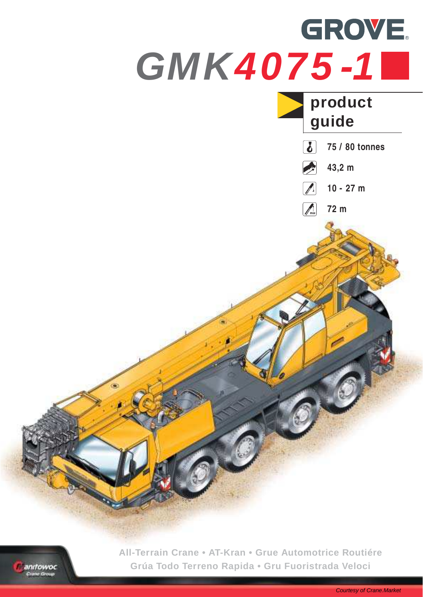

anifowoc se Grou

**All-Terrain Crane • AT-Kran • Grue Automotrice Routiére Grúa Todo Terreno Rapida • Gru Fuoristrada Veloci**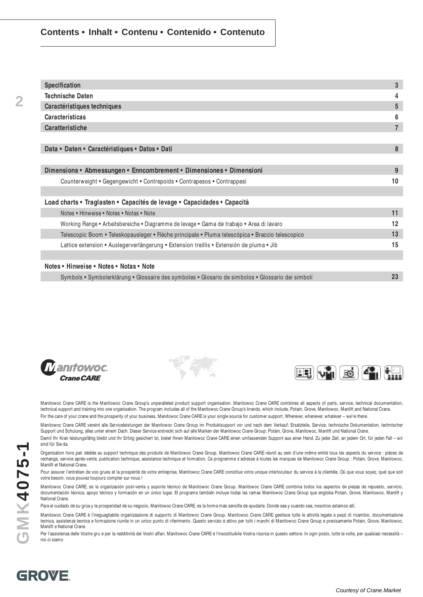#### **Contents • Inhalt • Contenu • Contenido • Contenuto**

| Specification                                                                                     | 3              |
|---------------------------------------------------------------------------------------------------|----------------|
| <b>Technische Daten</b>                                                                           | 4              |
| Caractéristiques techniques                                                                       | 5              |
| Características                                                                                   | 6              |
| Caratteristiche                                                                                   | $\overline{7}$ |
|                                                                                                   |                |
| Data • Daten • Caractéristiques • Datos • Dati                                                    | 8              |
|                                                                                                   |                |
| Dimensions • Abmessungen • Enncombrement • Dimensiones • Dimensioni                               | 9              |
| Counterweight • Gegengewicht • Contrepoids • Contrapesos • Contrappesi                            | 10             |
|                                                                                                   |                |
| Load charts • Traglasten • Capacités de levage • Capacidades • Capacità                           |                |
| Notes • Hinweise • Notes • Notas • Note                                                           | 11             |
| Working Range • Arbeitsbereiche • Diagramme de levage • Gama de trabajo • Area di lavaro          | 12             |
| Telescopic Boom • Teleskopausleger • Flèche principale • Pluma telescópica • Braccio telescopico  | 13             |
| Lattice extension • Auslegerverlängerung • Extension treillis • Extensión de pluma • Jib          | 15             |
|                                                                                                   |                |
| Notes • Hinweise • Notes • Notas • Note                                                           |                |
| Symbols • Symbolerklärung • Glossaire des symboles • Glosario de simbolos • Glossario dei simboli | 23             |







Manitowoc Crane CARE is the Manitowoc Crane Group's unparalleled product support organisation. Manitowoc Crane CARE combines all aspects of parts, service, technical documentation, technical support and training into one organisation. The program includes all of the Manitowoc Crane Group's brands, which include, Potain, Grove, Manitowoc, Manlift and National Crane. For the care of your crane and the prosperity of your business, Manitowoc Crane CARE is your single source for customer support. Wherever, whenever, whatever - we're there.

Manitowoc Crane CARE vereint alle Serviceleistungen der Manitowoc Crane Group im Produktsupport vor und nach dem Verkauf: Ersatzteile, Service, technische Dokumentation, technischer Support und Schulung, alles unter einem Dach. Dieser Service erstreckt sich auf alle Marken der Manitowoc Crane Group: Potain, Grove, Manitowoc, Manlift und National Crane. Damit Ihr Kran leistungsfähig bleibt und Ihr Erfolg gesichert ist, bietet Ihnen Manitowoc Crane CARE einen umfassenden Support aus einer Hand. Zu jeder Zeit, an jedem Ort, für jeden Fall – wir

sind für Sie da.

Organisation hors pair dédiée au support technique des produits de Manitowoc Crane Group, Manitowoc Crane CARE réunit au sein d'une même entité tous les aspects du service : pièces de rechange, service après-vente, publication technique, assistance technique et formation. Ce programme s'adresse à toutes les marques de Manitowoc Crane Group : Potain, Grove, Manitowoc, Manlift et National Crane.

Pour assurer l'entretien de vos grues et la prospérité de votre entreprise, Manitowoc Crane CARE constitue votre unique interlocuteur du service à la clientèle. Où que vous soyez, quel que soit votre besoin, vous pouvez toujours compter sur nous !

Manitowoc Crane CARE, es la organización post-venta y soporte técnico de Manitowoc Crane Group. Manitowoc Crane CARE combina todos los aspectos de piezas de repuesto, servicio, documentación técnica, apoyo técnico y formación en un único lugar. El programa también incluye todas las ramas Manitowoc Crane Group que engloba Potain, Grove, Manitowoc, Manlift y National Crane.

Para el cuidado de su grúa y la prosperidad de su negocio, Manitowoc Crane CARE, es la forma más sencilla de ayudarle. Donde sea y cuando sea, nosotros estamos allí.

Manitowoc Crane CARE è l'ineguagliabile organizzazione di supporto di Manitowoc Crane Group. Manitowoc Crane CARE gestisce tutte le attività legate a pezzi di ricambio, documentazione tecnica, assistenza tecnica e formazione riunite in un unico punto di riferimento. Questo servizio è attivo per tutti i marchi di Manitowoc Crane Group e precisamente Potain, Grove, Manitowoc, Manlift e National Crane.

Per l'assistenza delle Vostre gru e per la redditività dei Vostri affari, Manitowoc Crane CARE è l'insostituibile Vostra risorsa in questo settore. In ogni posto, tutte le volte, per qualsiasi necessità – noi ci siamo

**MK4075-1**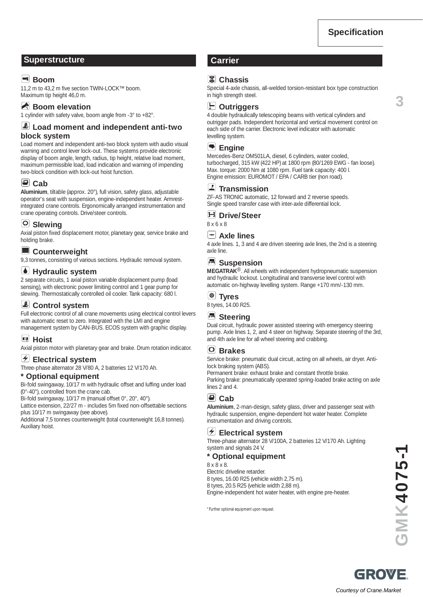**3**

## **Superstructure Carrier**

# **Boom**

11,2 m to 43,2 m five section TWIN-LOCK™ boom. Maximum tip height 46,0 m.

# **Boom elevation**

1 cylinder with safety valve, boom angle from -3° to +82°.

#### **Load moment and independent anti-two block system**

Load moment and independent anti-two block system with audio visual warning and control lever lock-out. These systems provide electronic display of boom angle, length, radius, tip height, relative load moment, maximum permissible load, load indication and warning of impending two-block condition with lock-out hoist function.

# **Cab**

**Aluminium**, tiltable (approx. 20°), full vision, safety glass, adjustable operator's seat with suspension, engine-independent heater. Armrestintegrated crane controls. Ergonomically arranged instrumentation and crane operating controls. Drive/steer controls.

#### **Slewing**

Axial piston fixed displacement motor, planetary gear, service brake and holding brake.

#### **Counterweight**

9,3 tonnes, consisting of various sections. Hydraulic removal system.

#### *M* Hydraulic system

2 separate circuits, 1 axial piston variable displacement pump (load sensing), with electronic power limiting control and 1 gear pump for slewing. Thermostatically controlled oil cooler. Tank capacity: 680 l.

# **Control system**

Full electronic control of all crane movements using electrical control levers with automatic reset to zero. Integrated with the LMI and engine management system by CAN-BUS. ECOS system with graphic display.

#### **Hoist**

Axial piston motor with planetary gear and brake. Drum rotation indicator.

#### **Electrical system**

Three-phase alternator 28 V/80 A, 2 batteries 12 V/170 Ah.

#### **\* Optional equipment**

Bi-fold swingaway, 10/17 m with hydraulic offset and luffing under load (0°-40°), controlled from the crane cab.

Bi-fold swingaway, 10/17 m (manual offset 0°, 20°, 40°).

Lattice extension, 22/27 m - includes 5m fixed non-offsettable sections plus 10/17 m swingaway (see above).

Additional 7,5 tonnes counterweight (total counterweight 16,8 tonnes). Auxiliary hoist.

## **Chassis**

Special 4-axle chassis, all-welded torsion-resistant box type construction in high strength steel.

#### **Outriggers**

4 double hydraulically telescoping beams with vertical cylinders and outrigger pads. Independent horizontal and vertical movement control on each side of the carrier. Electronic level indicator with automatic levelling system.

## **Engine**

Mercedes-Benz OM501LA, diesel, 6 cylinders, water cooled, turbocharged, 315 kW (422 HP) at 1800 rpm (80/1269 EWG - fan loose). Max. torque: 2000 Nm at 1080 rpm. Fuel tank capacity: 400 l. Engine emission: EUROMOT / EPA / CARB tier (non road).

#### **Transmission**

ZF-AS TRONIC automatic, 12 forward and 2 reverse speeds. Single speed transfer case with inter-axle differential lock.

# **Drive/Steer**

8 x 6 x 8

#### **Axle lines**

4 axle lines. 1, 3 and 4 are driven steering axle lines, the 2nd is a steering axle line.

#### **E** Suspension

**MEGATRAK**®. All wheels with independent hydropneumatic suspension and hydraulic lockout. Longitudinal and transverse level control with automatic on-highway levelling system. Range +170 mm/-130 mm.

#### **Tyres**

8 tyres, 14.00 R25.

## *B* Steering

Dual circuit, hydraulic power assisted steering with emergency steering pump. Axle lines 1, 2, and 4 steer on highway. Separate steering of the 3rd, and 4th axle line for all wheel steering and crabbing.

#### **Brakes**

Service brake: pneumatic dual circuit, acting on all wheels, air dryer. Antilock braking system (ABS).

Permanent brake: exhaust brake and constant throttle brake. Parking brake: pneumatically operated spring-loaded brake acting on axle lines 2 and 4.

## **Cab**

**Aluminium**, 2-man-design, safety glass, driver and passenger seat with hydraulic suspension, engine-dependent hot water heater. Complete instrumentation and driving controls.

## **Electrical system**

Three-phase alternator 28 V/100A, 2 batteries 12 V/170 Ah. Lighting system and signals 24 V.

#### **\* Optional equipment**

8 x 8 x 8.

Electric driveline retarder. 8 tyres, 16.00 R25 (vehicle width 2,75 m). 8 tyres, 20.5 R25 (vehicle width 2,88 m). Engine-independent hot water heater, with engine pre-heater.

\* Further optional equipment upon request.

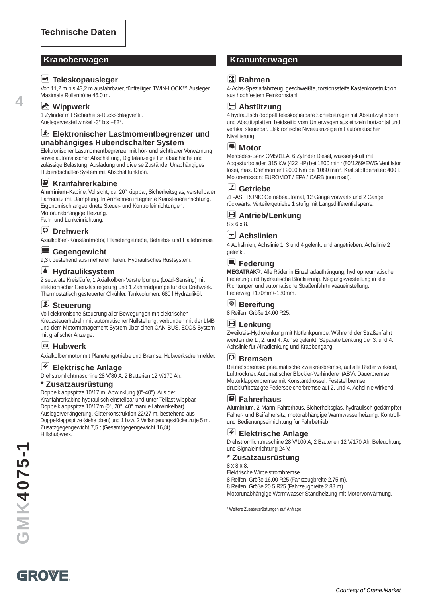#### **Teleskopausleger**

Von 11,2 m bis 43,2 m ausfahrbarer, fünfteiliger, TWIN-LOCK™ Ausleger. Maximale Rollenhöhe 46,0 m.

#### **Wippwerk**

**4**

1 Zylinder mit Sicherheits-Rückschlagventil. Auslegerverstellwinkel -3° bis +82°.

#### **Elektronischer Lastmomentbegrenzer und unabhängiges Hubendschalter System**

Elektronischer Lastmomentbegrenzer mit hör- und sichtbarer Vorwarnung sowie automatischer Abschaltung, Digitalanzeige für tatsächliche und zulässige Belastung, Ausladung und diverse Zustände. Unabhängiges Hubendschalter-System mit Abschaltfunktion.

#### **E** Kranfahrerkabine

**Aluminium**-Kabine, Vollsicht, ca. 20° kippbar, Sicherheitsglas, verstellbarer Fahrersitz mit Dämpfung. In Armlehnen integrierte Kransteuereinrichtung. Ergonomisch angeordnete Steuer- und Kontrolleinrichtungen. Motorunabhängige Heizung. Fahr- und Lenkeinrichtung.

# **Drehwerk**

Axialkolben-Konstantmotor, Planetengetriebe, Betriebs- und Haltebremse.

#### **Gegengewicht**

9,3 t bestehend aus mehreren Teilen. Hydraulisches Rüstsystem.

#### **Hydrauliksystem**

2 separate Kreisläufe, 1 Axialkolben-Verstellpumpe (Load-Sensing) mit elektronischer Grenzlastregelung und 1 Zahnradpumpe für das Drehwerk. Thermostatisch gesteuerter Ölkühler. Tankvolumen: 680 l Hydrauliköl.

# *Steuerung*

Voll elektronische Steuerung aller Bewegungen mit elektrischen Kreuzsteuerhebeln mit automatischer Nullstellung, verbunden mit der LMB und dem Motormanagement System über einen CAN-BUS. ECOS System mit grafischer Anzeige.

#### **Hubwerk**

Axialkolbenmotor mit Planetengetriebe und Bremse. Hubwerksdrehmelder.

#### **Elektrische Anlage**

Drehstromlichtmaschine 28 V/80 A, 2 Batterien 12 V/170 Ah.

#### **\* Zusatzausrüstung**

Doppelklappspitze 10/17 m. Abwinklung (0°-40°). Aus der Kranfahrerkabine hydraulisch einstellbar und unter Teillast wippbar. Doppelklappspitze 10/17m (0°, 20°, 40° manuell abwinkelbar). Auslegerverlängerung, Gitterkonstruktion 22/27 m, bestehend aus Doppelklappspitze (siehe oben) und 1 bzw. 2 Verlängerungsstücke zu je 5 m. Zusatzgegengewicht 7,5 t (Gesamtgegengewicht 16,8t). Hilfshubwerk.

#### **Kranoberwagen Kranunterwagen**

#### **Rahmen**

4-Achs-Spezialfahrzeug, geschweißte, torsionssteife Kastenkonstruktion aus hochfestem Feinkornstahl.



4 hydraulisch doppelt teleskopierbare Schiebeträger mit Abstützzylindern und Abstützplatten, beidseitig vom Unterwagen aus einzeln horizontal und vertikal steuerbar. Elektronische Niveauanzeige mit automatischer Nivellierung.

#### **Motor**

Mercedes-Benz OM501LA, 6 Zylinder Diesel, wassergekült mit Abgasturbolader, 315 kW (422 HP) bei 1800 min-1 (80/1269/EWG Ventilator lose), max. Drehmoment 2000 Nm bei 1080 min<sup>-1</sup>. Kraftstoffbehälter: 400 l. Motoremission: EUROMOT / EPA / CARB (non road).

#### **Getriebe**

ZF-AS TRONIC Getriebeautomat, 12 Gänge vorwärts und 2 Gänge rückwärts. Verteilergetriebe 1 stufig mit Längsdifferentialsperre.

# **Antrieb/Lenkung**

8 x 6 x 8.

# **Achslinien**

4 Achslinien, Achslinie 1, 3 und 4 gelenkt und angetrieben. Achslinie 2 gelenkt.

## **E** Federung

**MEGATRAK**®. Alle Räder in Einzelradaufhängung, hydropneumatische Federung und hydraulische Blockierung. Neigungsverstellung in alle Richtungen und automatische Straßenfahrtniveaueinstellung. Federweg +170mm/-130mm.

#### **Bereifung**

8 Reifen, Größe 14.00 R25.

## **Lenkung**

Zweikreis-Hydrolenkung mit Notlenkpumpe. Während der Straßenfahrt werden die 1., 2. und 4. Achse gelenkt. Separate Lenkung der 3. und 4. Achslinie für Allradlenkung und Krabbengang.

#### **Bremsen**

Betriebsbremse: pneumatische Zweikreisbremse, auf alle Räder wirkend, Lufttrockner. Automatischer Blockier-Verhinderer (ABV). Dauerbremse: Motorklappenbremse mit Konstantdrossel. Feststellbremse: druckluftbetätigte Federspeicherbremse auf 2. und 4. Achslinie wirkend.

#### **Fahrerhaus**

**Aluminium**, 2-Mann-Fahrerhaus, Sicherheitsglas, hydraulisch gedämpfter Fahrer- und Beifahrersitz, motorabhängige Warmwasserheizung. Kontrollund Bedienungseinrichtung für Fahrbetrieb.

#### **Elektrische Anlage**

Drehstromlichtmaschine 28 V/100 A, 2 Batterien 12 V/170 Ah, Beleuchtung und Signaleinrichtung 24 V.

#### **\* Zusatzausrüstung**

8 x 8 x 8.

Elektrische Wirbelstrombremse.

8 Reifen, Größe 16.00 R25 (Fahrzeugbreite 2,75 m).

8 Reifen, Größe 20.5 R25 (Fahrzeugbreite 2,88 m).

Motorunabhängige Warmwasser-Standheizung mit Motorvorwärmung.

\* Weitere Zusatausrüstungen auf Anfrage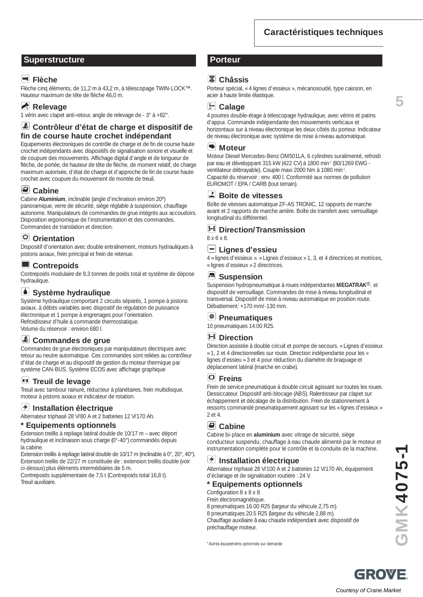# **Caractéristiques techniques**

# **Superstructure Porteur**

# **Flèche**

Flèche cinq éléments, de 11,2 m à 43,2 m, à télescopage TWIN-LOCK™. Hauteur maximum de tête de flèche 46,0 m.

# **Relevage**

1 vérin avec clapet anti-retour, angle de relevage de - 3° à +82°.

## **Contrôleur d'état de charge et dispositif de fin de course haute crochet indépendant**

Equipements électroniques de contrôle de charge et de fin de course haute crochet indépendants avec dispositifs de signalisation sonore et visuelle et de coupure des mouvements. Affichage digital d'angle et de longueur de flèche, de portée, de hauteur de tête de flèche, de moment relatif, de charge maximum autorisée, d'état de charge et d'approche de fin de course haute crochet avec coupure du mouvement de montée de treuil.

# **Cabine**

Cabine **Aluminium**, inclinable (angle d'inclinaison environ 20º) panoramique, verre de sécurité, siège réglable à suspension, chauffage autonome. Manipulateurs de commandes de grue intégrés aux accoudoirs. Disposition ergonomique de l'instrumentation et des commandes. Commandes de translation et direction.

# **Orientation**

Dispositif d'orientation avec double entraînement, moteurs hydrauliques à pistons axiaux, frein principal et frein de retenue.

# **Contrepoids**

Contrepoids modulaire de 9,3 tonnes de poids total et système de dépose hydraulique.

# **Système hydraulique**

Système hydraulique comportant 2 circuits séparés, 1 pompe à pistons axiaux, à débits variables avec dispositif de régulation de puissance électronique et 1 pompe à engrenages pour l'orientation. Refroidisseur d'huile à commande thermostatique. Volume du réservoir : environ 680 l.

# **Commandes de grue**

Commandes de grue électroniques par manipulateurs électriques avec retour au neutre automatique. Ces commandes sont reliées au contrôleur d'état de charge et au dispositif de gestion du moteur thermique par système CAN-BUS. Système ECOS avec affichage graphique

# **Treuil de levage**

Treuil avec tambour rainuré, réducteur à planétaires, frein multidisque, moteur à pistons axiaux et indicateur de rotation.

#### **Installation électrique**

Alternateur triphasé 28 V/80 A et 2 batteries 12 V/170 Ah.

#### **Equipements optionnels**

Extension treillis à repliage latéral double de 10/17 m – avec déport hydraulique et inclinaison sous charge (0°-40°) commandés depuis la cabine.

Extension treillis à repliage latéral double de 10/17 m (inclinable à 0°, 20°, 40°). Extension treillis de 22/27 m constituée de : extension treillis double (voir ci-dessus) plus éléments intermédiaires de 5 m.

Contrepoids supplémentaire de 7,5 t (Contrepoids total 16,8 t). Treuil auxiliaire.

# **Châssis**

Porteur spécial, « 4 lignes d'essieux », mécanosoudé, type caisson, en acier à haute limite élastique.

**Calage**

4 poutres double-étage à télescopage hydraulique, avec vérins et patins d'appui. Commande indépendante des mouvements verticaux et horizontaux sur à niveau électronique les deux côtés du porteur. Indicateur de niveau électronique avec système de mise à niveau automatique.

#### **Moteur**

Moteur Diesel Mercedes-Benz OM501LA, 6 cylindres suralimenté, refroidi par eau et développant 315 kW (422 CV) à 1800 min-1 (80/1269 EWG ventilateur débrayable). Couple maxi 2000 Nm à 1080 min-1 . Capacité du réservoir : env. 400 l. Conformité aux normes de pollution EUROMOT / EPA / CARB (tout terrain).

#### **Boite de vitesses**

Boîte de vitesses automatique ZF-AS TRONIC, 12 rapports de marche avant et 2 rapports de marche arrière. Boîte de transfert avec verrouillage longitudinal du différentiel.

#### **Direction/Transmission**

8 x 6 x 8.

#### **Lignes d'essieu**

4 « lignes d'essieux ». « Lignes d'essieux » 1, 3, et 4 directrices et motrices, « lignes d'essieux » 2 directrices.

#### **B** Suspension

Suspension hydropneumatique à roues indépendantes **MEGATRAK**®. et dispositif de verrouillage. Commandes de mise à niveau longitudinal et transversal. Dispositif de mise à niveau automatique en position route. Débattement: +170 mm/-130 mm.

## **Pneumatiques**

10 pneumatiques 14.00 R25.

## **Direction**

Direction assistée à double circuit et pompe de secours. « Lignes d'essieux » 1, 2 et 4 directionnelles sur route. Direction indépendante pour les « lignes d'essieu » 3 et 4 pour réduction du diamètre de braquage et déplacement latéral (marche en crabe).

## **Freins**

Frein de service pneumatique à double circuit agissant sur toutes les roues. Dessiccateur. Dispositif anti-blocage (ABS). Ralentisseur par clapet sur échappement et décalage de la distribution. Frein de stationnement à ressorts commandé pneumatiquement agissant sur les « lignes d'essieux » 2 et 4.

#### **Cabine**

Cabine bi-place en **aluminium** avec vitrage de sécurité, siège conducteur suspendu, chauffage à eau chaude alimenté par le moteur et instrumentation complète pour le contrôle et la conduite de la machine.

#### $|\boldsymbol{\tau}|$ **Installation électrique**

Alternateur triphasé 28 V/100 A et 2 batteries 12 V/170 Ah, équipement d'éclairage et de signalisation routière : 24 V.

#### **\* Equipements optionnels**

Configuration 8 x 8 x 8

Frein électromagnétique. 8 pneumatiques 16.00 R25 (largeur du véhicule 2,75 m). 8 pneumatiques 20.5 R25 (largeur du véhicule 2,88 m). Chauffage auxiliaire â eau chaude indépendant avec dispositif de préchauffage moteur.

\* Autres équipements optionnels sur demande

GROWE Courtesy of Crane.Market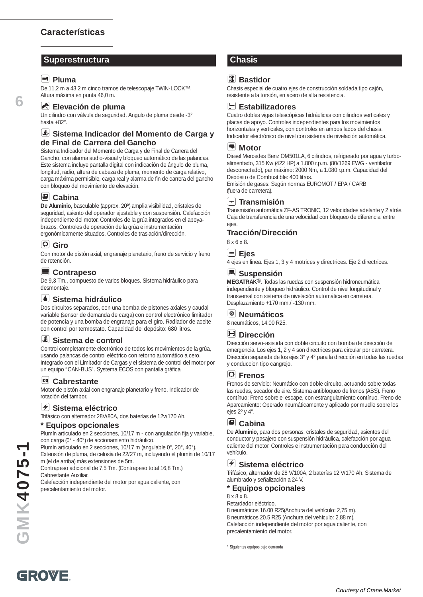#### **Superestructura Chasis**

#### **Pluma**

**6**

De 11,2 m a 43,2 m cinco tramos de telescopaje TWIN-LOCK™. Altura máxima en punta 46,0 m.

#### **Elevación de pluma**

Un cilindro con válvula de seguridad. Angulo de pluma desde -3° hasta +82°.

#### **Sistema Indicador del Momento de Carga y de Final de Carrera del Gancho**

Sistema Indicador del Momento de Carga y de Final de Carrera del Gancho, con alarma audio-visual y bloqueo automático de las palancas. Este sistema incluye pantalla digital con indicación de ángulo de pluma, longitud, radio, altura de cabeza de pluma, momento de carga relativo, carga máxima permisible, carga real y alarma de fin de carrera del gancho con bloqueo del movimiento de elevación.

#### **Cabina**

**De Aluminio**, basculable (approx. 20º) amplia visibilidad, cristales de seguridad, asiento del operador ajustable y con suspensión. Calefacción independiente del motor. Controles de la grúa integrados en el apoyabrazos. Controles de operación de la grúa e instrumentación ergonómicamente situados. Controles de traslación/dirección.

# **Giro**

Con motor de pistón axial, engranaje planetario, freno de servicio y freno de retención.

#### **Contrapeso**

De 9,3 Tm., compuesto de varios bloques. Sistema hidráulico para desmontaje.

#### **Sistema hidráulico**

Dos circuitos separados, con una bomba de pistones axiales y caudal variable (sensor de demanda de carga) con control electrónico limitador de potencia y una bomba de engranaje para el giro. Radiador de aceite con control por termostato. Capacidad del depósito: 680 litros.

#### **Sistema de control**

Control completamente electrónico de todos los movimientos de la grúa, usando palancas de control eléctrico con retorno automático a cero. Integrado con el Limitador de Cargas y el sistema de control del motor por un equipo "CAN-BUS". Systema ECOS con pantalla gráfica

## **Cabrestante**

Motor de pistón axial con engranaje planetario y freno. Indicador de rotación del tambor.

#### **Sistema eléctrico**

Trifásico con alternador 28V/80A, dos baterías de 12v/170 Ah.

#### **\* Equipos opcionales**

Plumín articulado en 2 secciones, 10/17 m - con angulación fija y variable, con carga (0° - 40°) de accionamiento hidráulico.

Plumín articulado en 2 secciones, 10/17 m (angulable 0°, 20°, 40°). Extensión de pluma, de celosía de 22/27 m, incluyendo el plumín de 10/17 m (el de arriba) más extensiones de 5m.

Contrapeso adicional de 7,5 Tm. (Contrapeso total 16,8 Tm.) Cabrestante Auxiliar.

Calefacción independiente del motor por agua caliente, con precalentamiento del motor.

# <sup>[<sub>點</sub>]</sup> Bastidor

Chasis especial de cuatro ejes de construcción soldada tipo cajón, resistente a la torsión, en acero de alta resistencia.



Cuatro dobles vigas telescópicas hidráulicas con cilindros verticales y placas de apoyo. Controles independientes para los movimientos horizontales y verticales, con controles en ambos lados del chasis. Indicador electrónico de nivel con sistema de nivelación automática.

#### **Motor**

Diesel Mercedes Benz OM501LA, 6 cilindros, refrigerado por agua y turboalimentado, 315 Kw (422 HP) a 1.800 r.p.m. (80/1269 EWG - ventilador desconectado), par máximo: 2000 Nm, a 1.080 r.p.m. Capacidad del Depósito de Combustible: 400 litros. Emisión de gases: Según normas EUROMOT / EPA / CARB

(fuera de carretera).

#### **Transmisión**

Transmisión automática ZF-AS TRONIC, 12 velocidades adelante y 2 atrás. Caja de transferencia de una velocidad con bloqueo de diferencial entre ejes.

#### **Tracción/Dirección**

8 x 6 x 8.

#### **Ejes**

4 ejes en linea. Ejes 1, 3 y 4 motrices y directrices. Eje 2 directrices.

#### **Suspensión**

**MEGATRAK**®. Todas las ruedas con suspensión hidroneumática independiente y bloqueo hidráulico. Control de nivel longitudinal y transversal con sistema de nivelación automática en carretera. Desplazamiento +170 mm./ -130 mm.

#### **Neumáticos**

8 neumáticos, 14.00 R25.

#### **Dirección**

Dirección servo-asistida con doble circuito con bomba de dirección de emergencia. Los ejes 1, 2 y 4 son directrices para circular por carretera. Dirección separada de los ejes 3° y 4° para la dirección en todas las ruedas y conduccion tipo cangrejo.

#### **Frenos**

Frenos de servicio: Neumático con doble circuito, actuando sobre todas las ruedas, secador de aire. Sistema antibloqueo de frenos (ABS). Freno contínuo: Freno sobre el escape, con estrangulamiento contínuo. Freno de Aparcamiento: Operado neumáticamente y aplicado por muelle sobre los ejes 2º y 4°.

#### **Cabina**

De **Aluminio**, para dos personas, cristales de seguridad, asientos del conductor y pasajero con suspensión hidráulica, calefacción por agua caliente del motor. Controles e instrumentación para conducción del vehículo.

#### **Sistema eléctrico**

Trifásico, alternador de 28 V/100A, 2 baterías 12 V/170 Ah. Sistema de alumbrado y señalización a 24 V.

## **\* Equipos opcionales**

8 x 8 x 8.

Retardador eléctrico. 8 neumáticos 16.00 R25(Anchura del vehículo: 2,75 m). 8 neumáticos 20.5 R25 (Anchura del vehículo: 2,88 m). Calefacción independiente del motor por agua caliente, con precalentamiento del motor.

\* Siguientes equipos bajo demanda

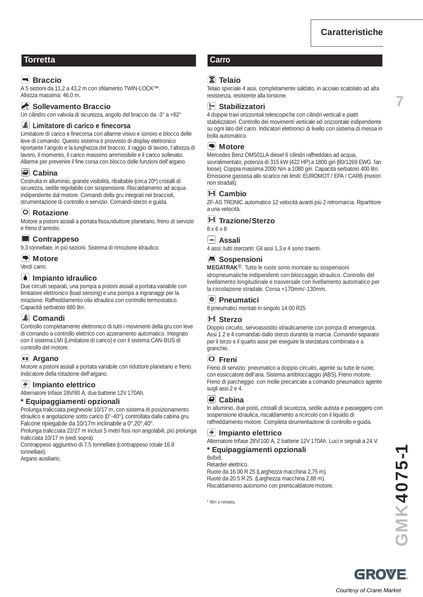**7**

## **Torretta Carro**

## **Example 3**

A 5 sezioni da 11,2 a 43,2 m con sfilamento TWIN-LOCK™. Altezza massima: 46,0 m.

#### Sollevamento Braccio

Un cilindro con valvola di sicurezza, angolo del braccio da -3° a +82°

#### **Limitatore di carico e finecorsa**

Limitatore di carico e finecorsa con allarme visivo e sonoro e blocco delle leve di comando. Questo sistema è provvisto di display elettronico riportante l'angolo e la lunghezza del braccio, il raggio di lavoro, l'altezza di lavoro, il momento, il carico massimo ammissibile e il carico sollevato. Allarme per prevenire il fine corsa con blocco delle funzioni dell'argano.

#### **Cabina**

Costruita in alluminio, grande visibilità, ribaltable (circa 20º) cristalli di sicurezza, sedile regolabile con sospensione. Riscaldamento ad acqua indipendente dal motore. Comandi della gru integrati nei braccioli, strumentazione di controllo e servizio. Comandi sterzo e guida.

#### **Rotazione**

Motore a pistoni assiali a portata fissa,riduttore planetario, freno di servizio e freno d'arresto.

#### **Contrappeso**

9,3 tonnellate, in più sezioni. Sistema di rimozione idraulico.

#### **Motore**

Verdi carro.

#### **Impianto idraulico**

Due circuiti separati, una pompa a pistoni assiali a portata variabile con limitatore elettronico (load sensing) e una pompa a ingranaggi per la rotazione. Raffreddamento olio idraulico con controllo termostatico. Capacità serbatoio 680 litri.

# **Comandi**

Controllo completamente elettronico di tutti i movimenti della gru con leve di comando a controllo elettrico con azzeramento automatico. Integrato con il sistema LMI (Limitatore di carico) e con il sistema CAN-BUS di controllo del motore.

#### **Argano**

Motore a pistoni assiali a portata variabile con riduttore planetario e freno. Indicatore della rotazione dell'argano.

#### **Impianto elettrico**

Alternatore trifase 28V/80 A, due batterie 12V 170Ah.

#### **\* Equipaggiamenti opzionali**

Prolunga tralicciata pieghevole 10/17 m, con sistema di posizionamento idraulico e angolazione sotto carico (0°-40°), controllata dalla cabina gru. Falcone ripiegabile da 10/17m inclinabile a 0°,20°,40°.

Prolunga tralicciata 22/27 m inclusi 5 metri fissi non angolabili, piú prolunga tralicciata 10/17 m (vedi sopra).

Contrappeso aggiuntivo di 7,5 tonnellate (contrappeso totale 16.8 tonnellate).

Argano ausiliario.

#### **Telaio**

Telaio speciale 4 assi, completamente saldato, in acciaio scatolato ad alta resistenza, resistente alla torsione.

#### **Stabilizzatori**

4 doppie travi orizzontali telescopiche con cilindri verticali e piatti stabilizzatori. Controllo dei movimenti verticale ed orizzontale indipendente su ogni lato del carro. Indicatori elettronici di livello con sistema di messa in bolla automatico.

#### **Motore**

Mercedes Benz OM501LA diesel 6 cilindri raffreddato ad acqua, sovralimentato, potenza di 315 kW (422 HP) a 1800 giri (80/1269 EWG fan loose). Coppia massima 2000 Nm a 1080 giri. Capacità serbatoio 400 litri. Emissione gassosa allo scarico nei limiti: EUROMOT / EPA / CARB (motori non stradali).

#### **Cambio**

ZF-AS TRONIC automatico 12 velocità avanti più 2 retromarcia. Ripartitore a una velocità.

#### **Trazione/Sterzo**

8 x 6 x 8

#### **Assali**

4 assi: tutti sterzanti: Gli assi 1,3 e 4 sono traenti.

#### **Sospensioni**

**MEGATRAK**®. Tutte le ruote sono montate su sospensioni idropneumatiche indipendenti con bloccaggio idraulico. Controllo del livellamento longitudinale e trasversale con livellamento automatico per la circolazione stradale. Corsa +170mm/-130mm.

#### **Pneumatici**

8 pneumatici montati in singolo 14.00 R25

#### **Sterzo**

Doppio circuito, servoassistito idraulicamente con pompa di emergenza. Assi 1 2 e 4 comandati dallo sterzo durante la marcia. Comando separato per il terzo e il quarto asse per eseguire la sterzatura combinata e a granchio.

#### **Freni**

Freno di servizio: pneumatico a doppio circuito, agente su tutte le ruote, con essiccatore dell'aria. Sistema antibloccaggio (ABS). Freno motore. Freno di parcheggio: con molle precaricate a comando pneumatico agente sugli assi 2 e 4.

#### **Cabina**

In alluminio, due posti, cristalli di sicurezza, sedile autista e passeggero con sospensione idraulica, riscaldamento a ricircolo con il liquido di raffreddamento motore. Completa strumentazione di controllo e guida.

#### **Impianto elettrico**

Alternatore trifase 28V/100 A, 2 batterie 12V 170Ah. Luci e segnali a 24 V.

#### **\* Equipaggiamenti opzionali**

8x8x8.

Retarder elettrico. Ruote da 16.00 R 25 (Larghezza macchina 2,75 m). Ruote da 20.5 R 25. (Larghezza macchina 2,88 m). Riscaldamento autonomo con preriscaldatore motore.

\* Altri a richiesta.

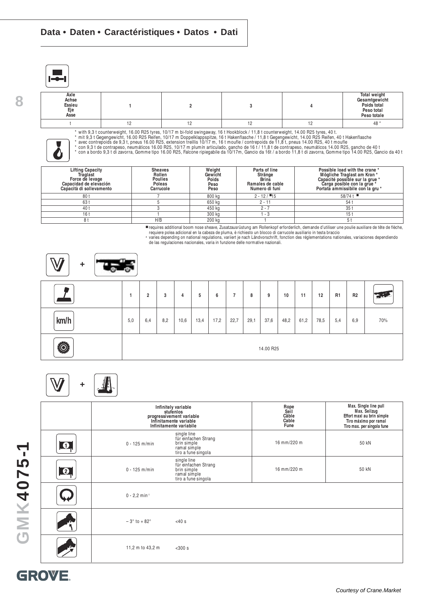**8**

| Axle<br>Achse<br>Essieu<br>Eje<br>Asse |  |  | <b>Total weight</b><br>Gesamtgewicht<br>Poids total<br>Peso total<br>Peso totale |
|----------------------------------------|--|--|----------------------------------------------------------------------------------|
|                                        |  |  | 48                                                                               |



\* with 9,3 t counterweight, 16.00 R25 tyres, 10/17 m bi-fold swingaway, 16 t Hookblock / 11,8 t counterweight, 14.00 R25 tyres, 40 t.<br>\* mit 9,3 t Gegengewicht, 16.00 R25 Reifen, 10/17 m Doppelklappspitze, 16 t Hakenflasche

| <b>Lifting Capacity</b><br>Traglast<br>Force de levage<br>Capacidad de elevación<br>Capacità di sollevamento | <b>Sheaves</b><br>Rollen<br><b>Poulies</b><br>Poleas<br>Carrucole | Weight<br>Gewicht<br>Poids<br>Peso<br>Peso | Parts of line<br>Stränge<br><b>Brins</b><br>Ramales de cable<br>Numero di funi | Possible load with the crane *<br>Mögliche Traglast am Kran *<br>Capacité possible sur la grue *<br>Carga posible con la grue *<br>Portata ammissibile con la gru * |
|--------------------------------------------------------------------------------------------------------------|-------------------------------------------------------------------|--------------------------------------------|--------------------------------------------------------------------------------|---------------------------------------------------------------------------------------------------------------------------------------------------------------------|
| 801                                                                                                          |                                                                   | 800 kg                                     | $2 - 12 / 15$                                                                  | $58/74$ t                                                                                                                                                           |
| 63 t                                                                                                         |                                                                   | 650 kg                                     | $2 - 11$                                                                       | 54                                                                                                                                                                  |
| 40 t                                                                                                         |                                                                   | 450 kg                                     | $2 - 7$                                                                        | 35 <sub>1</sub>                                                                                                                                                     |
| 16t                                                                                                          |                                                                   | 300 kg                                     | - 3                                                                            | 15 <sub>1</sub>                                                                                                                                                     |
| 8 t                                                                                                          | H/B                                                               | 200 kg                                     |                                                                                |                                                                                                                                                                     |

■ requires additional boom nose sheave, Zusatzausrüstung am Rollenkopf erforderlich, demande d'utiliser une poulie auxiliare de tête de flèche,<br>requiere polea adicional en la cabeza de pluma, è richiesto un blocco di carr

requiere polea auicional en la cabeza de piuma, e nomesto un biocco di carrucole ausinano in testa braccio<br>\* varies depending on national regulations, variiert je nach Ländvorschrift, fonction des réglementations nationale



|                |     | 2   | 3   | 4    | 5    | 6    |      | 8    | 9         | 10   | 11   | 12   | R <sub>1</sub> | R <sub>2</sub> | $\mathcal{L}$ |
|----------------|-----|-----|-----|------|------|------|------|------|-----------|------|------|------|----------------|----------------|---------------|
| km/h           | 5,0 | 6,4 | 8,2 | 10,6 | 13,4 | 17,2 | 22,7 | 29,1 | 37,6      | 48,2 | 61,2 | 78,5 | 5,4            | 6,9            | 70%           |
| $\ddot{\odot}$ |     |     |     |      |      |      |      |      | 14.00 R25 |      |      |      |                |                |               |

# **+**

|                  |                             | Infinitely variable<br>stufenlos<br>progressivement variable<br>Infinitamente variable<br>Infinitamente variabile | Rope<br>Seil<br>Câble<br>Cable<br>Fune | Max. Single line pull<br>Max. Seilzug<br>Effort maxi au brin simple<br>Tiro máximo por ramal<br>Tiro max. per singola fune |
|------------------|-----------------------------|-------------------------------------------------------------------------------------------------------------------|----------------------------------------|----------------------------------------------------------------------------------------------------------------------------|
| $\bullet$        | $0 - 125$ m/min             | single line<br>für einfachen Strang<br>brin simple<br>ramal simple<br>tiro a fune singola                         | 16 mm/220 m                            | 50 kN                                                                                                                      |
| $\boldsymbol{Q}$ | $0 - 125$ m/min             | single line<br>für einfachen Strang<br>brin simple<br>ramal simple<br>tiro a fune singola                         | 16 mm/220 m                            | 50 kN                                                                                                                      |
|                  | $0 - 2.2$ min <sup>-1</sup> |                                                                                                                   |                                        |                                                                                                                            |
|                  | $-3^\circ$ to $+82^\circ$   | $<$ 40 $s$                                                                                                        |                                        |                                                                                                                            |
|                  | 11,2 m to 43,2 m            | $300 s$                                                                                                           |                                        |                                                                                                                            |

# **GMK4075-1**

# GROVE.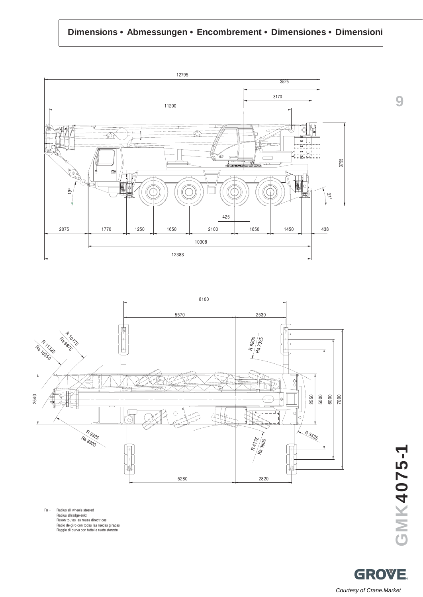# **Dimensions • Abmessungen • Encombrement • Dimensiones • Dimensioni**





Ra = Radius all wheels steered Radius allradgelenkt Rayon toutes les roues directrices Radio de giro con todas las ruedas giradas Raggio di curva con tutte le ruote sterzate **GMK4075-1**

**9**

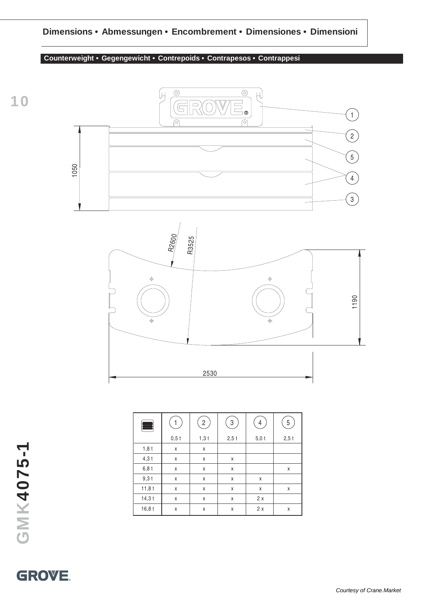# **Dimensions • Abmessungen • Encombrement • Dimensiones • Dimensioni**

## **Counterweight • Gegengewicht • Contrepoids • Contrapesos • Contrappesi**





| Ŧ       | 1       | $\overline{c}$ | 3       | 4       | 5       |
|---------|---------|----------------|---------|---------|---------|
|         | $0,5$ t | $1,3$ t        | $2,5$ t | $5,0$ t | $2,5$ t |
| $1,8$ t | Χ       | χ              |         |         |         |
| $4,3$ t | χ       | χ              | X       |         |         |
| 6,8 t   | Χ       | χ              | X       |         | X       |
| $9,3$ t | Χ       | χ              | χ       | χ       |         |
| 11,8t   | Χ       | χ              | χ       | X       | X       |
| 14,3 t  | Χ       | χ              | X       | 2x      |         |
| 16,8t   | Χ       | χ              | X       | 2x      | X       |

**GMK4075-1**

# **GROVE.**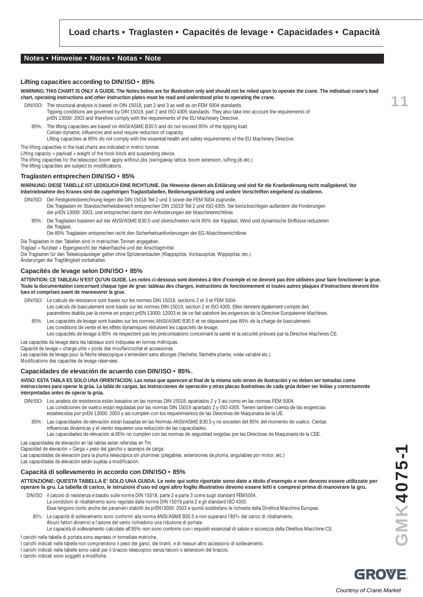#### **Notes • Hinweise • Notes • Notas • Note**

#### **Lifting capacities according to DIN/ISO • 85%**

**WARNING: THIS CHART IS ONLY A GUIDE. The Notes below are for illustration only and should not be relied upon to operate the crane. The individual crane's load chart, operating instructions and other instruction plates must be read and understood prior to operating the crane.**

- DIN/ISO: The structural analysis is based on DIN 15018, part 2 and 3 as well as on FEM 5004 standards. Tipping conditions are governed by DIN 15019, part 2 and ISO 4305 standards. They also take into account the requirements of prEN 13000: 2003 and therefore comply with the requirements of the EU Machinery Directive.
	- 85%: The lifting capacities are based on ANSI/ASME B30.5 and do not exceed 85% of the tipping load. Certain dynamic influences and wind require reduction of capacity. Lifting capacities at 85% do not comply with the essential health and safety requirements of the EU Machinery Directive.

The lifting capacities in the load charts are indicated in metric tonnes.

Lifting capacity = payload + weight of the hook block and suspending device.

The lifting capacities for the telescopic boom apply without jibs (swingaway lattice, boom extension, luffing-jib etc.)

The lifting capacities are subject to modifications.

#### **Traglasten entsprechen DIN/ISO • 85%**

**WARNUNG: DIESE TABELLE IST LEDIGLICH EINE RICHTLINIE. Die Hinweise dienen als Erklärung und sind für die Kranbedienung nicht maßgebend. Vor Inbetriebnahme des Kranes sind die zugehörigen Traglasttabellen, Bedienungsanleitung und andere Vorschriften eingehend zu studieren.**

DIN/ISO: Der Festigkeitsberechnung liegen die DIN 15018 Teil 2 und 3 sowie die FEM 5004 zugrunde. Die Traglasten im Standsicherheitsbereich entsprechen DIN 15019 Teil 2 und ISO 4305. Sie berücksichtigen außerdem die Forderungen der prEN 13000: 2003, und entsprechen damit den Anforderungen der Maschinenrichtlinie.

85%: Die Traglasten basieren auf der ANSI/ASME B30.5 und überschreiten nicht 85% der Kipplast. Wind und dynamische Einflüsse reduzieren die Traglast.

Die 85% Traglasten entsprechen nicht den Sicherheitsanforderungen der EG-Maschinenrichtlinie.

Die Traglasten in den Tabellen sind in metrischen Tonnen angegeben.

Traglast = Nutzlast + Eigengewicht der Hakenflasche und der Anschlagmittel.

Die Traglasten für den Teleskopausleger gelten ohne Spitzenanbauten (Klappspitze, Vorbauspitze, Wippspitze, etc.)

## Änderungen der Tragfähigkeit vorbehalten.

#### **Capacités de levage selon DIN/ISO • 85%**

**ATTENTION: CE TABLEAU N'EST QU'UN GUIDE. Les notes ci-dessous sont données à titre d'exemple et ne devront pas être utilisées pour faire fonctionner la grue. Toute la documentation concernant chaque type de grue: tableau des charges, instructions de fonctionnement et toutes autres plaques d'instructions devront être lues et comprises avant de manoeuvrer la grue.**

- DIN/ISO: Le calculs de résistance sont basés sur les normes DIN 15018, sections 2 et 3 et FEM 5004. Les calculs de basculement sont basés sur les normes DIN 15019, section 2 et ISO 4305. Elles tiennent également compte des
	- paramètres établis par la norme en project prEN 13000: 12003 et de ce fait satisfont les exigences de la Directive Européenne Machines.
	- 85%: Les capacités de levage sont basées sur les normes ANSI/ASME B30.5 et ne dépassent pas 85% de la charge de basculement. Les conditions de vente et les effets dynamiques réduisent les capacités de levage. Les capacités de levage à 85% ne respectent pas les préconisations concernant la santé et la sécurité prévues par la Directive Machines CE.
- Les capacités de levage dans les tableaux sont indiquées en tonnes métriques.

Capacité de levage = charge utile + poids des moufle/crochet et accessoires.

Les capacités de levage pour la flèche télescopique s'entendent sans allonges (flèchette, flèchette pliante, volée variable etc.)

Modifications des capacités de levage réservées.

#### **Capacidades de elevación de acuerdo con DIN/ISO • 85%.**

**AVISO: ESTA TABLA ES SOLO UNA ORIENTACION. Las notas que aparecen al final de la misma solo sirven de ilustración y no deben ser tomadas como instrucciones para operar la grúa. La tabla de cargas, las instrucciones de operación y otras placas ilustrativas de cada grúa deben ser leídas y correctamente interpretadas antes de operar la grúa.**

DIN/ISO: Los analisis de resistencia están basados en las normas DIN 15018, apartados 2 y 3 asi como en las normas FEM 5004. Las condiciones de vuelco están reguladas por las normas DIN 15019 apartado 2 y ISO 4305. Tienen tambien cuenta de las exigencias establecidas por prEN 13000: 2003 y asi cumplen con los requerimientos de las Directivas de Maquinaria de la UE.

85%: Las capacidades de elevación están basadas en las Normas ANSI/ASME B30.5 y no exceden del 85% del momento de vuelco. Ciertas influencias dinámicas y el viento requieren una reducción de las capacidades.

Las capacidades de elevación al 85% no cumplen con las normas de seguridad exigidas por las Directivas de Maquinaria de la CEE. Las capacidades de elevación en las tablas estan referidas en Tm.

Capacidad de elevación = Carga + peso del gancho y aparejos de carga.

Las capacidades de elevación para la pluma telescópica sin plumines (plegables, extensiones de pluma, angulables por motor, etc.)

Las capacidades de elevación están sujetas a modificación.

#### **Capacità di sollevamento in accordo con DIN/ISO • 85%**

**ATTENZIONE: QUESTA TABELLA E' SOLO UNA GUIDA. Le note qui sotto riportate sono date a titolo d'esempio e non devono essere utilizzate per operare la gru. La tabella di carico, le istruzioni d'uso ed ogni altro foglio illustrativo devono essere letti e compresi prima di manovrare la gru.**

DIN/ISO: il calcolo di resistenza è basato sulle norme DIN 15018, parte 2 e parte 3 come sugli standard FEM5004. Le condizioni di ribaltamento sono regolate dalle norme DIN 15019 parte 2 e gli standard ISO 4305.

- Esse tengono conto anche dei parametri stabiliti da prEN13000: 2003 e quindi soddisfano le richieste della Direttiva Macchine Europea.
- 85%: Le capacità di sollevamento sono conformi alla norma ANSI/ASME B30.5 e non superano l'85% del carico di ribaltamento.

Alcuni fattori dinamici e l'azione del vento richiedono una riduzione di portate. Le capacità di sollevamento calcolate all'85% non sono conformi con i requisiti essenziali di salute e sicurezza della Direttiva Macchine CE.

I carichi nelle tabelle di portata sono espressi in tonnellate metriche.

- I carichi indicati nelle tabelle non comprendono il peso dei ganci, dei tiranti, e di nessun altro accessorio di sollevamento.
- I carichi indicati nelle tabelle sono validi per il braccio telescopico senza falconi o estensioni del braccio.

I carichi indicati sono soggetti a modifiche.

**GMK4075-1**

**11**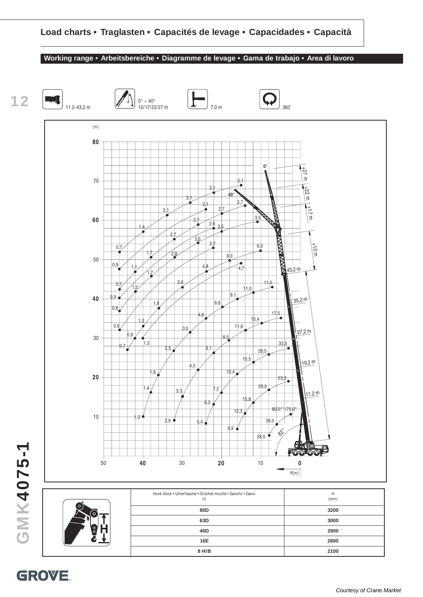#### **Working range • Arbeitsbereiche • Diagramme de levage • Gama de trabajo • Area di lavoro**



GROVE.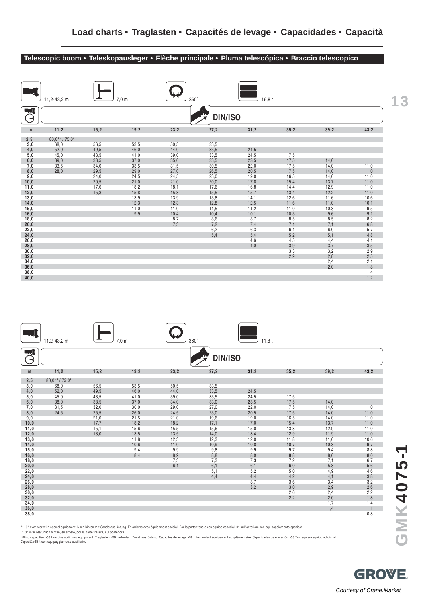#### **Telescopic boom • Teleskopausleger • Flèche principale • Pluma telescópica • Braccio telescopico**

|               | 11,2-43,2 m  |      | $7,0 \text{ m}$ | 360° |                | 16,8t |      |      |                | 13 |
|---------------|--------------|------|-----------------|------|----------------|-------|------|------|----------------|----|
| $\rightarrow$ |              |      |                 |      | <b>DIN/ISO</b> |       |      |      |                |    |
| m             | 11,2         | 15,2 | 19,2            | 23,2 | 27,2           | 31,2  | 35,2 | 39,2 | 43,2           |    |
| 2,5           | 80,0**/75,0* |      |                 |      |                |       |      |      |                |    |
| 3,0           | 68,0         | 56,5 | 53,5            | 50,5 | 33,5           |       |      |      |                |    |
| 4,0           | 52,0         | 49,5 | 46,0            | 44,0 | 33,5           | 24,5  |      |      |                |    |
| 5,0           | 45,0         | 43,5 | 41,0            | 39,0 | 33,5           | 24,5  | 17,5 |      |                |    |
| 6,0           | 39,0         | 38,5 | 37,0            | 35,0 | 33,5           | 23,5  | 17,5 | 14,0 |                |    |
| 7,0           | 33,5         | 34,0 | 33,5            | 31,5 | 30,5           | 22,0  | 17,5 | 14,0 | 11,0           |    |
| 8,0           | 28,0         | 29,5 | 29,0            | 27,0 | 26,5           | 20,5  | 17,5 | 14,0 | 11,0           |    |
| 9,0           |              | 24,0 | 24,5            | 24,5 | 23,0           | 19,0  | 16,5 | 14,0 | 11,0           |    |
| 10,0          |              | 20,5 | 21,0            | 21,0 | 20,0           | 17,8  | 15,4 | 13,7 | 11,0           |    |
| 11,0          |              | 17,6 | 18,2            | 18,1 | 17,6           | 16,8  | 14,4 | 12,9 | 11,0           |    |
| 12,0          |              | 15.3 | 15,8            | 15,8 | 15,5           | 15,7  | 13,4 | 12,2 | 11,0           |    |
| 13,0          |              |      | 13,9            | 13,9 | 13,8           | 14,1  | 12,6 | 11,6 | 10,6           |    |
| 14,0          |              |      | 12,3            | 12,3 | 12,8           | 12,5  | 11,6 | 11,0 | 10,1           |    |
| 15,0          |              |      | 11,0            | 11,0 | 11,5           | 11,2  | 11,0 | 10,3 | 9,5            |    |
| 16,0          |              |      | 9,9             | 10,4 | 10,4           | 10,1  | 10,3 | 9,6  | 9,1            |    |
| 18,0          |              |      |                 | 8,7  | 8,6            | 8,7   | 8,5  | 8,5  | $8,2$<br>$6,8$ |    |
| 20,0          |              |      |                 | 7,3  | 7,2            | 7,4   | 7,1  | 7,1  |                |    |
| 22,0          |              |      |                 |      | 6,2            | 6,3   | 6,1  | 6,0  | 5,7            |    |
| 24,0          |              |      |                 |      | 5,4            | 5,4   | 5,2  | 5,1  | 4,8            |    |
| 26,0          |              |      |                 |      |                | 4,6   | 4,5  | 4,4  | 4,1            |    |
| 28,0          |              |      |                 |      |                | 4,0   | 3,9  | 3,7  | 3,5            |    |
| 30,0          |              |      |                 |      |                |       | 3,3  | 3,2  | 2,9            |    |
| 32,0          |              |      |                 |      |                |       | 2,9  | 2,8  | 2,5            |    |
| 34,0          |              |      |                 |      |                |       |      | 2,4  | 2,1            |    |
| 36,0          |              |      |                 |      |                |       |      | 2,0  | 1,8            |    |
| 38,0          |              |      |                 |      |                |       |      |      | 1,4            |    |
| 40,0          |              |      |                 |      |                |       |      |      | 1,2            |    |

|               | 11,2-43,2 m  |      | $7,0 \text{ m}$ | $360^\circ$ |                | 11,8t             |            |            |                                           |
|---------------|--------------|------|-----------------|-------------|----------------|-------------------|------------|------------|-------------------------------------------|
| $\rightarrow$ |              |      |                 |             | <b>DIN/ISO</b> |                   |            |            |                                           |
| m             | 11,2         | 15,2 | 19,2            | 23,2        | 27,2           | 31,2              | 35,2       | 39,2       | 43,2                                      |
| 2, 5          | 80,0**/75,0* |      |                 |             |                |                   |            |            |                                           |
| 3,0           | 68,0         | 56,5 | 53,5            | 50,5        | 33,5           |                   |            |            |                                           |
| 4,0           | 52,0         | 49,5 | 46,0            | 44,0        | 33,5           | 24,5              |            |            |                                           |
| 5,0           | 45,0         | 43,5 | 41,0            | 39,0        | 33,5           | 24,5              | 17,5       |            |                                           |
| 6,0           | 38,0         | 38,5 | 37,0            | 34,0        | 33,0           | 23,5              | 17,5       | 14,0       |                                           |
| 7,0           | 31,5         | 32,0 | 30,0            | 29,0        | 27,0           | 22,0              | 17,5       | 14,0       | 11,0                                      |
| 8,0           | 24,5         | 25,5 | 26,0            | 24,5        | 23,0           | 20,5              | 17,5       | 14,0       | 11,0                                      |
| 9,0           |              | 21,0 | 21,5            | 21,0        | 19,6           | 19,0              | 16,5       | 14,0       | 11,0                                      |
| 10,0          |              | 17,7 | 18,2            | 18,2        | 17,1           | 17,0              | 15,4       | 13,7       | 11,0                                      |
| 11,0          |              | 15,1 | 15,6            | 15,5        | 15,6           | 15,0              | 13,8       | 12,9       | 11,0                                      |
| 12,0          |              | 13,0 | 13,5            | 13,5        | 14,0           | 13,4              | 12,9       | 11,9       | 11,0                                      |
| 13,0          |              |      | 11,8            | 12,3        | 12,3           | 12,0              | 11,8       | 11,0       | 10,6                                      |
| 14,0          |              |      | 10,6            | 11,0        | 10,9           | 10,8              | 10,7       | 10,3       | 9,7                                       |
| 15,0          |              |      | 9,4             | 9,9         | 9,8            | 9,9               | 9,7        | 9,4        | 8,8                                       |
| 16,0          |              |      | 8,4             | 8,9         | 8,8            | $\frac{8,9}{7,3}$ | 8,8        | 8,6        | $\frac{8,0}{6,7}$                         |
| 18,0          |              |      |                 | 7,3         | 7,3            |                   | 7,2        | 7,1        |                                           |
| 20,0          |              |      |                 | 6,1         | 6,1<br>5,1     | 6,1               | 6,0        | 5,8        | 5,6                                       |
| 22,0<br>24,0  |              |      |                 |             | 4,4            | 5,2               | 5,0        | 4,9<br>4,1 | 4,6                                       |
| 26,0          |              |      |                 |             |                | 4,4<br>3,7        | 4,2<br>3,6 | 3,4        |                                           |
| 28,0          |              |      |                 |             |                | 3,2               | 3,0        | 2,9        |                                           |
| 30,0          |              |      |                 |             |                |                   | 2,6        | 2,4        | $3,8$<br>$3,2$<br>$2,6$<br>$2,2$<br>$1,8$ |
| 32,0          |              |      |                 |             |                |                   | 2,2        | 2,0        |                                           |
| 34,0          |              |      |                 |             |                |                   |            | 1,7        | 1,4                                       |
| 36,0          |              |      |                 |             |                |                   |            | 1,4        | 1,1                                       |
| 38,0          |              |      |                 |             |                |                   |            |            | 0,8                                       |

\* \* 0° over rear with special equipment. Nach hinten mit Sonderausrüstung. En arrierre avec équipement spécial. Por la parte trasera con equipo especial, 0° sull'anteriore con equipaggiamento speciale.

\* 0° over rear, nach hinten, en arrière, por la parte trasera, sul posteriore.<br>Lifting capactites >58 t require additional equipment. Traglasten >58 t erfordern Zusatzausrüstung. Capacités de levage >58 t demandent équipe

**GROVE** Courtesy of Crane.Market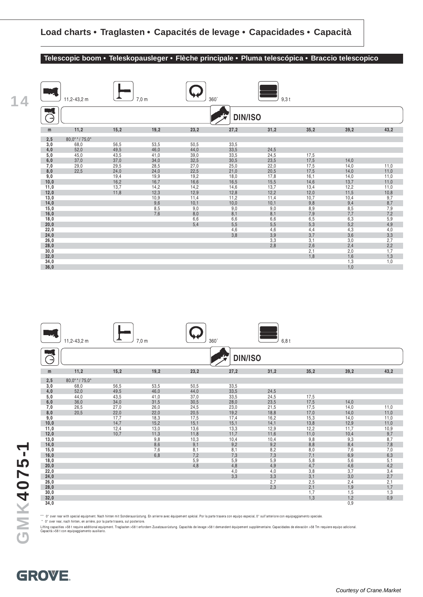#### **Telescopic boom • Teleskopausleger • Flèche principale • Pluma telescópica • Braccio telescopico**

| 1<br>4 |               | 11,2-43,2 m    |      | $7,0 \text{ m}$ | 360° |                | $9,3$ t        |      |      |                                       |
|--------|---------------|----------------|------|-----------------|------|----------------|----------------|------|------|---------------------------------------|
|        | $\rightarrow$ |                |      |                 |      | <b>DIN/ISO</b> |                |      |      |                                       |
|        | m             | 11,2           | 15,2 | 19,2            | 23,2 | 27,2           | 31,2           | 35,2 | 39,2 | 43,2                                  |
|        | 2,5           | $80,0**/75,0*$ |      |                 |      |                |                |      |      |                                       |
|        | 3,0           | 68,0           | 56,5 | 53,5            | 50,5 | 33,5           |                |      |      |                                       |
|        | 4,0           | 52,0           | 49,5 | 46,0            | 44,0 | 33,5           | 24,5           |      |      |                                       |
|        | 5,0           | 45,0           | 43,5 | 41,0            | 39,0 | 33,5           | 24,5           | 17,5 |      |                                       |
|        | 6,0           | 37,0           | 37,0 | 34,0            | 32,5 | 30,5           | 23,5           | 17,5 | 14,0 |                                       |
|        | 7,0           | 29,0           | 29,5 | 28,5            | 27,0 | 25,0           | 22,0           | 17,5 | 14,0 | 11,0                                  |
|        | 8,0           | 22,5           | 24,0 | 24,0            | 22,5 | 21,0           | 20,5           | 17,5 | 14,0 | 11,0                                  |
|        | 9,0           |                | 19,4 | 19,9            | 19,2 | 18,0           | 17,8           | 16,1 | 14,0 | 11,0                                  |
|        | 10,0          |                | 16,2 | 16,7            | 16,6 | 16,5           | 15,5           | 14,6 | 13,7 | 11,0                                  |
|        | 11,0          |                | 13,7 | 14,2            | 14,2 | 14,6           | 13,7           | 13,4 | 12,2 | 11,0                                  |
|        | 12,0          |                | 11,8 | 12,3            | 12,9 | 12,8           | 12,2           | 12,0 | 11,5 | $\frac{10,8}{9,7}$<br>$\frac{8,7}{9}$ |
|        | 13,0          |                |      | 10,9            | 11,4 | 11,2           | 11,4           | 10,7 | 10,4 |                                       |
|        | 14,0          |                |      | 9,6             | 10,1 | 10,0           | 10,1           | 9,8  | 9,4  |                                       |
|        | 15,0          |                |      | 8,5             | 9,0  | 9,0            | 9,0            | 8,9  | 8,5  | 7,9                                   |
|        | 16,0          |                |      | 7,6             | 8,0  | 8,1            | 8,1            | 7,9  | 7,7  |                                       |
|        | 18,0          |                |      |                 | 6,6  | 6,6            | 6,6            | 6,5  | 6,3  | $7,2$<br>$5,9$<br>$4,9$               |
|        | 20,0          |                |      |                 | 5,4  | 5,5            | 5,5            | 5,3  | 5,2  |                                       |
|        | 22,0          |                |      |                 |      | 4,6            | 4,6            | 4,4  | 4,3  |                                       |
|        | 24,0          |                |      |                 |      | 3,8            | $3,9$<br>$3,3$ | 3,7  | 3,6  |                                       |
|        | 26,0          |                |      |                 |      |                |                | 3,1  | 3,0  |                                       |
|        | 28,0          |                |      |                 |      |                | 2,8            | 2,6  | 2,4  | $4,0$<br>$3,3$<br>$2,7$<br>$2,2$      |
|        | 30,0          |                |      |                 |      |                |                | 2,1  | 2,0  | 1,7                                   |
|        | 32,0          |                |      |                 |      |                |                | 1,8  | 1,6  | 1,3                                   |
|        | 34,0          |                |      |                 |      |                |                |      | 1,3  | 1,0                                   |
|        | 36,0          |                |      |                 |      |                |                |      | 1,0  |                                       |

|      | 11,2-43,2 m  |      | $7,0 \text{ m}$ | 360° |                | 6,8t              |       |      |                                                                           |
|------|--------------|------|-----------------|------|----------------|-------------------|-------|------|---------------------------------------------------------------------------|
|      |              |      |                 |      | <b>DIN/ISO</b> |                   |       |      |                                                                           |
| m    | 11,2         | 15,2 | 19,2            | 23,2 | 27,2           | 31,2              | 35,2  | 39,2 | 43,2                                                                      |
| 2, 5 | 80,0**/75,0* |      |                 |      |                |                   |       |      |                                                                           |
| 3,0  | 68,0         | 56,5 | 53,5            | 50,5 | 33,5           |                   |       |      |                                                                           |
| 4,0  | 52,0         | 49,5 | 46,0            | 44,0 | 33,5           | 24,5              |       |      |                                                                           |
| 5,0  | 44,0         | 43,5 | 41,0            | 37,0 | 33,5           | 24,5              | 17,5  |      |                                                                           |
| 6,0  | 36,0         | 34,0 | 31,5            | 30,5 | 28,0           | 23,5              | 17,5  | 14,0 |                                                                           |
| 7,0  | 26,5         | 27,0 | 26,0            | 24,5 | 23,0           | 21,5              | 17,5  | 14,0 | 11,0                                                                      |
| 8,0  | 20,5         | 22,0 | 22,0            | 20,5 | 19,2           | 18,8              | 17,0  | 14,0 | 11,0                                                                      |
| 9,0  |              | 17,7 | 18,3            | 17,5 | 17,4           | 16,2              | 15,3  | 14,0 | 11,0                                                                      |
| 10,0 |              | 14,7 | 15,2            | 15,1 | 15,1           | 14,1              | 13,8  | 12,9 | 11,0                                                                      |
| 11,0 |              | 12,4 | 13,0            | 13,6 | 13,3           | 12,9              | 12,2  | 11,7 | 10,9                                                                      |
| 12,0 |              | 10,7 | 11,3            | 11,8 | 11,7           | 11,6              | 11,0  | 10,4 | $\frac{9}{8}$ , 7                                                         |
| 13,0 |              |      | 9,8             | 10,3 | 10,4           | 10,4              | 9,8   | 9,3  |                                                                           |
| 14,0 |              |      | 8,6             | 9,1  | 9,2            | 9,2               | 8,8   | 8,4  | 7,8                                                                       |
| 15,0 |              |      | 7,6             | 8,1  | 8,1            | 8,2               | 8,0   | 7,6  |                                                                           |
| 16,0 |              |      | 6,8             | 7,2  | 7,3            | 7,3               | 7,1   | 6,9  |                                                                           |
| 18,0 |              |      |                 | 5,9  | 5,9            | 5,9               | $5,8$ | 5,6  |                                                                           |
| 20,0 |              |      |                 | 4,8  | 4,8            | 4,9               | 4,7   | 4,6  |                                                                           |
| 22,0 |              |      |                 |      | 4,0            | 4,0               | 3,8   | 3,7  |                                                                           |
| 24,0 |              |      |                 |      | 3,3            | $\frac{3,3}{2,7}$ | 3,1   | 3,0  |                                                                           |
| 26,0 |              |      |                 |      |                |                   | 2,5   | 2,4  | $7,0$<br>$6,3$<br>$5,1$<br>$4,2$<br>$3,4$<br>$7$<br>$7$<br>$1,7$<br>$1,3$ |
| 28,0 |              |      |                 |      |                | 2,3               | 2,1   | 1,9  |                                                                           |
| 30,0 |              |      |                 |      |                |                   | 1,7   | 1,5  |                                                                           |
| 32,0 |              |      |                 |      |                |                   | 1,3   | 1,2  | 0,9                                                                       |
| 34,0 |              |      |                 |      |                |                   |       | 0,9  |                                                                           |

\*\* 0° over rear with special equipment. Nach hinten mit Sonderausrüstung. En arrierre avec équipement spécial. Por la parte trasera con equipo especial, 0° sull'anteriore con equipaggiamento speciale.<br>\* 0° over rear, nach

Lifting capacities >58 t require additional equipment. Traglasten >58 t erfordern Zusatzausrüstung. Capacités de levage >58 t demandent équipement supplémentaire. Capacidades de elevación >58 Tm requiere equipo adicional.<br>

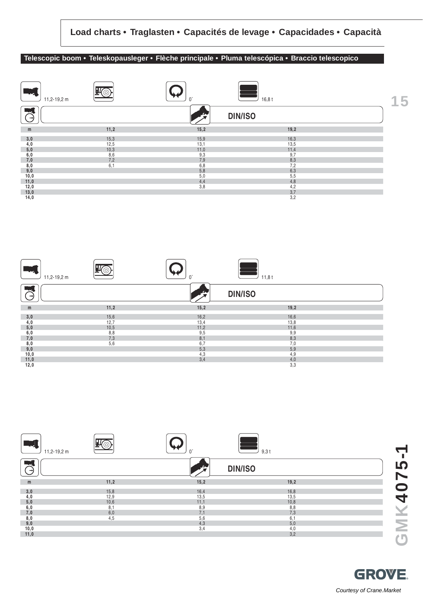#### **Telescopic boom • Teleskopausleger • Flèche principale • Pluma telescópica • Braccio telescopico**







**GROVE** 

Courtesy of Crane.Market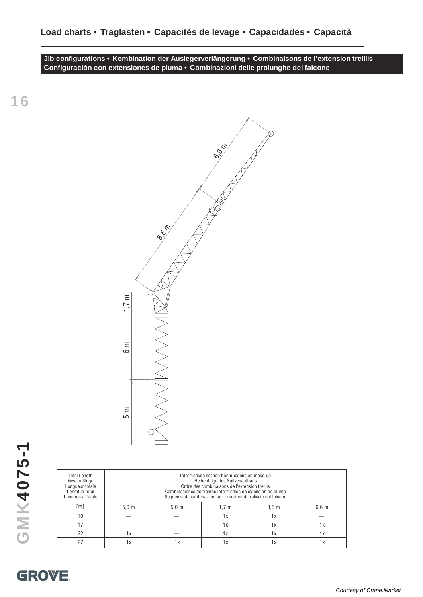**Jib configurations • Kombination der Auslegerverlängerung • Combinaisons de l'extension treillis Configuración con extensiones de pluma • Combinazioni delle prolunghe del falcone**

> 6,60 m 8,5 m 1,7 m 5 m 5 m

| Total Length<br>Gesamtlänge<br>Longueur totale<br>Longitud total<br>Lunghezza Totale | Intermediate section boom extension make-up<br>Reihenfolge des Spitzenaufbaus<br>Ordre des combinaisons de l'extension treillis<br>Combinaciones de tramos intermedios de extensión de pluma<br>Sequenza di combinazioni per le sezioni di traliccio del falcone |                  |                  |                  |       |  |  |  |  |  |
|--------------------------------------------------------------------------------------|------------------------------------------------------------------------------------------------------------------------------------------------------------------------------------------------------------------------------------------------------------------|------------------|------------------|------------------|-------|--|--|--|--|--|
| $[{\sf m}]$                                                                          | 5.0 <sub>m</sub>                                                                                                                                                                                                                                                 | 5.0 <sub>m</sub> | 1.7 <sub>m</sub> | 8.5 <sub>m</sub> | 6,6 m |  |  |  |  |  |
| 10                                                                                   |                                                                                                                                                                                                                                                                  |                  | 1x               | 1х               |       |  |  |  |  |  |
| 17                                                                                   |                                                                                                                                                                                                                                                                  |                  | 1x               | 1х               | 1 x   |  |  |  |  |  |
| 22                                                                                   | 1х                                                                                                                                                                                                                                                               |                  | 1х               | 1х               | 1х    |  |  |  |  |  |
| 27                                                                                   | 1х                                                                                                                                                                                                                                                               | 1 x              | 1 x              | 1х               | 1 x   |  |  |  |  |  |

**16**

**GROVE.**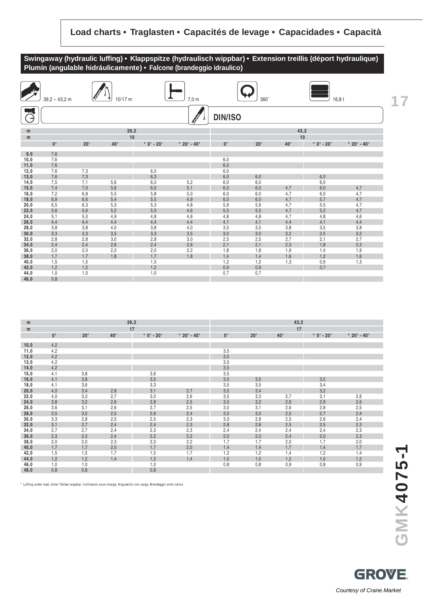## **Swingaway (hydraulic luffing) • Klappspitze (hydraulisch wippbar) • Extension treillis (déport hydraulique) Plumín (angulable hidráulicamente) • Falcone (brandeggio idraulico)**



| m    |             |              |              | 39,2                             |                               | 43,2        |              |              |              |                               |  |
|------|-------------|--------------|--------------|----------------------------------|-------------------------------|-------------|--------------|--------------|--------------|-------------------------------|--|
| m    |             |              |              | 17                               |                               |             |              | 17           |              |                               |  |
|      | $0^{\circ}$ | $20^{\circ}$ | $40^{\circ}$ | $*$ 0 $^{\circ}$ - 20 $^{\circ}$ | * $20^{\circ}$ - $40^{\circ}$ | $0^{\circ}$ | $20^{\circ}$ | $40^{\circ}$ | $*$ 0° - 20° | * $20^{\circ}$ - $40^{\circ}$ |  |
| 10,0 | 4,2         |              |              |                                  |                               |             |              |              |              |                               |  |
| 11,0 | 4,2         |              |              |                                  |                               | 3,5         |              |              |              |                               |  |
| 12,0 | 4,2         |              |              |                                  |                               | 3,5         |              |              |              |                               |  |
| 13,0 | 4,2         |              |              |                                  |                               | 3,5         |              |              |              |                               |  |
| 14,0 | 4,2         |              |              |                                  |                               | 3,5         |              |              |              |                               |  |
| 15,0 | 4,1         | 3,8          |              | 3,6                              |                               | 3,5         |              |              |              |                               |  |
| 16,0 | 4,1         | 3,8          |              | 3,5                              |                               | 3,5         | 3,5          |              | 3,5          |                               |  |
| 18,0 | 4,1         | 3,6          |              | 3,3                              |                               | 3,5         | 3,5          |              | 3,4          |                               |  |
| 20,0 | 4,0         | 3,4          | 2,8          | 3,1                              | 2,7                           | 3,5         | 3,4          |              | 3,2          |                               |  |
| 22,0 | 4,0         | 3,3          | 2,7          | 3,0                              | 2,6                           | 3,5         | 3,3          | 2,7          | 3,1          | 2,6                           |  |
| 24,0 | 3,8         | 3,2          | 2,6          | 2,8                              | 2,5                           | 3,5         | 3,2          | 2,6          | 2,9          | 2,6                           |  |
| 26,0 | 3,6         | 3,1          | 2,6          | 2,7                              | 2,5                           | 3,5         | 3,1          | 2,6          | 2,8          | 2,5                           |  |
| 28,0 | 3,5         | 3,0          | 2,5          | 2,6                              | 2,4                           | 3,5         | 3,0          | 2,5          | 2,7          | 2,4                           |  |
| 30,0 | 3,3         | 2,8          | 2,5          | 2,5                              | 2,3                           | 3,3         | 2,9          | 2,5          | 2,6          | 2,4                           |  |
| 32,0 | 3,1         | 2,7          | 2,4          | 2,4                              | 2,3                           | 2,8         | 2,8          | 2,5          | 2,5          | 2,3                           |  |
| 34,0 | 2,7         | 2,7          | 2,4          | 2,3                              | 2,3                           | 2,4         | 2,4          | 2,4          | 2,4          | 2,3                           |  |
| 36,0 | 2,3         | 2,3          | 2,4          | 2,2                              | 2,2                           | 2,0         | 2,0          | 2,4          | 2,0          | 2,3                           |  |
| 38,0 | 2,0         | 2,0          | 2,3          | 2,0                              | 2,2                           | 1,7         | 1,7          | 2,0          | 1,7          | 2,0                           |  |
| 40,0 | 1,7         | 1,7          | 2,0          | 1,7                              | 2,0                           | 1,4         | 1,4          | 1,7          | 1,4          | 1,7                           |  |
| 42,0 | 1,5         | 1,5          | 1,7          | 1,5                              | 1,7                           | 1,2         | 1,2          | 1,4          | 1,2          | 1,4                           |  |
| 44,0 | 1,2         | 1,2          | 1,4          | 1,2                              | 1,4                           | 1,0         | 1,0          | 1,2          | 1,0          | 1,2                           |  |
| 46,0 | 1,0         | 1,0          |              | 1,0                              |                               | 0,8         | 0,8          | 0,9          | 0,8          | 0,9                           |  |
| 48,0 | 0,8         | 0,8          |              | 0,8                              |                               |             |              |              |              |                               |  |

\* Luffing under load, Unter Teillast wippbar, Inclinaison sous charge, Angulación con carga, Brandeggio sotto carico

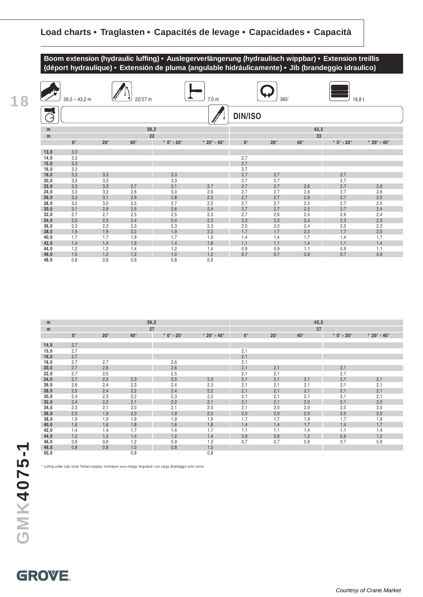

| <b>The Second Second</b> | $39,2 - 43,2$ m |              | 22/27 m      |              | 7,0 m                             |                | $360^\circ$  |              | 16,8t        |                                 |
|--------------------------|-----------------|--------------|--------------|--------------|-----------------------------------|----------------|--------------|--------------|--------------|---------------------------------|
| $\rightarrow$            |                 |              |              |              |                                   | <b>DIN/ISO</b> |              |              |              |                                 |
| m                        |                 |              | 39,2         |              |                                   |                |              | 43,2         |              |                                 |
| m                        |                 |              | 22           |              |                                   |                |              | 22           |              |                                 |
|                          | $0^{\circ}$     | $20^{\circ}$ | $40^{\circ}$ | $*$ 0° - 20° | $*$ 20 $^{\circ}$ - 40 $^{\circ}$ | $0^{\circ}$    | $20^{\circ}$ | $40^{\circ}$ | $*$ 0° - 20° | * 20 $^{\circ}$ - 40 $^{\circ}$ |
| 13,0                     | 3,3             |              |              |              |                                   |                |              |              |              |                                 |
| 14,0                     | 3,3             |              |              |              |                                   | 2,7            |              |              |              |                                 |
| 15,0                     | 3,3             |              |              |              |                                   | 2,7            |              |              |              |                                 |
| 16,0                     | 3,3             |              |              |              |                                   | 2,7            |              |              |              |                                 |
| 18,0                     | 3,3             | 3,3          |              | 3,3          |                                   | 2,7            | 2,7          |              | 2,7          |                                 |
| 20,0                     | 3,3             | 3,3          |              | 3,3          |                                   | 2,7            | 2,7          |              | 2,7          |                                 |
| 22,0                     | 3,3             | 3,3          | 2,7          | 3,1          | 2,7                               | 2,7            | 2,7          | 2,6          | 2,7          | 2,6                             |
| 24,0                     | 3,3             | 3,2          | 2,6          | 3,0          | 2,6                               | 2,7            | 2,7          | 2,6          | 2,7          | 2,6                             |
| 26,0                     | 3,3             | 3,1          | 2,6          | 2,8          | 2,5                               | 2,7            | 2,7          | 2,6          | 2,7          | 2,5                             |
| 28,0                     | 3,2             | 3,0          | 2,5          | 2,7          | 2,5                               | 2,7            | 2,7          | 2,5          | 2,7          | 2,5                             |
| 30,0                     | 3,1             | 2,9          | 2,5          | 2,6          | 2,4                               | 2,7            | 2,7          | 2,5          | 2,7          | 2,4                             |
| 32,0                     | 2,7             | 2,7          | 2,5          | 2,5          | 2,3                               | 2,7            | 2,6          | 2,4          | 2,6          | 2,4                             |
| 34,0                     | 2,5             | 2,5          | 2,4          | 2,4          | 2,3                               | 2,3            | 2,3          | 2,4          | 2,3          | 2,3                             |
| 36,0                     | 2,3             | 2,3          | 2,3          | 2,3          | 2,3                               | 2,0            | 2,0          | 2,4          | 2,0          | 2,3                             |
| 38,0                     | 1,9             | 1,9          | 2,2          | 1,9          | 2,2                               | 1,7            | 1,7          | 2,0          | 1,7          | 2,0                             |
| 40,0                     | 1,7             | 1,7          | 1,9          | 1,7          | 1,9                               | 1,4            | 1,4          | 1,7          | 1,4          | 1,7                             |
| 42,0                     | 1,4             | 1,4          | 1,6          | 1,4          | 1,6                               | 1,1            | 1,1          | 1,4          | 1,1          | 1,4                             |
| 44,0                     | 1,2             | 1,2          | 1,4          | 1,2          | 1,4                               | 0,9            | 0,9          | 1,1          | 0,9          | 1,1                             |
| 46,0                     | 1,0             | 1,0          | 1,2          | 1,0          | 1,2                               | 0,7            | 0,7          | 0,9          | 0,7          | 0,9                             |
| 48,0                     | 0,8             | 0,8          | 0,9          | 0,8          | 0,9                               |                |              |              |              |                                 |

| m    |             |              |              | 39,2                             | 43,2                              |             |              |              |                        |               |
|------|-------------|--------------|--------------|----------------------------------|-----------------------------------|-------------|--------------|--------------|------------------------|---------------|
| m    |             |              |              | 27                               |                                   |             |              | 27           |                        |               |
|      | $0^{\circ}$ | $20^{\circ}$ | $40^{\circ}$ | $*$ 0 $^{\circ}$ - 20 $^{\circ}$ | $*$ 20 $^{\circ}$ - 40 $^{\circ}$ | $0^{\circ}$ | $20^{\circ}$ | $40^{\circ}$ | $* 0^\circ - 20^\circ$ | $* 20° - 40°$ |
|      |             |              |              |                                  |                                   |             |              |              |                        |               |
| 14,0 | 2,7         |              |              |                                  |                                   |             |              |              |                        |               |
| 15,0 | 2,7         |              |              |                                  |                                   | 2,1         |              |              |                        |               |
| 16,0 | 2,7         |              |              |                                  |                                   | 2,1         |              |              |                        |               |
| 18,0 | 2,7         | 2,7          |              | 2,6                              |                                   | 2,1         |              |              |                        |               |
| 20,0 | 2,7         | 2,6          |              | 2,6                              |                                   | 2,1         | 2,1          |              | 2,1                    |               |
| 22,0 | 2,7         | 2,5          |              | 2,5                              |                                   | 2,1         | 2,1          |              | 2,1                    |               |
| 24,0 | 2,7         | 2,5          | 2,3          | 2,5                              | 2,3                               | 2,1         | 2,1          | 2,1          | 2,1                    | 2,1           |
| 26,0 | 2,6         | 2,4          | 2,3          | 2,4                              | 2,3                               | 2,1         | 2,1          | 2,1          | 2,1                    | 2,1           |
| 28,0 | 2,5         | 2,4          | 2,2          | 2,4                              | 2,2                               | 2,1         | 2,1          | 2,1          | 2,1                    | 2,1           |
| 30,0 | 2,4         | 2,3          | 2,2          | 2,3                              | 2,2                               | 2,1         | 2,1          | 2,1          | 2,1                    | 2,1           |
| 32,0 | 2,4         | 2,2          | 2,1          | 2,2                              | 2,1                               | 2,1         | 2,1          | 2,0          | 2,1                    | 2,0           |
| 34,0 | 2,3         | 2,1          | 2,0          | 2,1                              | 2,0                               | 2,1         | 2,0          | 2,0          | 2,0                    | 2,0           |
| 36,0 | 2,0         | 1,9          | 2,0          | 1,9                              | 2,0                               | 2,0         | 2,0          | 2,0          | 2,0                    | 2,0           |
| 38,0 | 1,9         | 1,9          | 1,9          | 1,9                              | 1,9                               | 1,7         | 1,7          | 1,9          | 1,7                    | 1,9           |
| 40,0 | 1,6         | 1,6          | 1,8          | 1,6                              | 1,8                               | 1,4         | 1,4          | 1,7          | 1,4                    | 1,7           |
| 42,0 | 1,4         | 1,4          | 1,7          | 1,4                              | 1,7                               | 1,1         | 1,1          | 1,4          | 1,1                    | 1,4           |
| 44,0 | 1,2         | 1,2          | 1,4          | 1,2                              | 1,4                               | 0,9         | 0,9          | 1,2          | 0,9                    | 1,2           |
| 46,0 | 0,9         | 0,9          | 1,2          | 0,9                              | 1,2                               | 0,7         | 0,7          | 0,9          | 0,7                    | 0,9           |
| 48,0 | 0,8         | 0,8          | 1,0          | 0,8                              | 1,0                               |             |              |              |                        |               |
| 50,0 |             |              | 0,8          |                                  | 0,8                               |             |              |              |                        |               |

\* Luffing under load, Unter Teillast wippbar, Inclinaison sous charge, Angulación con carga, Brandeggio sotto carico

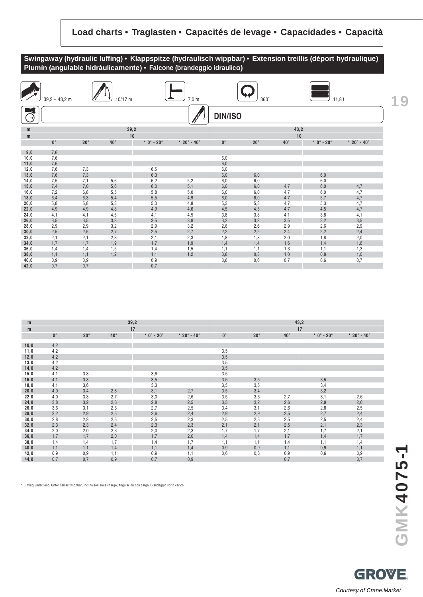#### **Swingaway (hydraulic luffing) • Klappspitze (hydraulisch wippbar) • Extension treillis (déport hydraulique) Plumín (angulable hidráulicamente) • Falcone (brandeggio idraulico)**

| <b>Allen</b> | $39,2 - 43,2$ m |            | $10/17$ m    |                        | $7,0 \text{ m}$<br>360°       |                |            | 11,8t        |                        |                             |
|--------------|-----------------|------------|--------------|------------------------|-------------------------------|----------------|------------|--------------|------------------------|-----------------------------|
| C)           |                 |            |              |                        |                               | <b>DIN/ISO</b> |            |              |                        |                             |
| m            |                 |            | 39,2         |                        |                               |                |            | 43,2         |                        |                             |
| m            |                 |            | 10           |                        |                               |                |            | 10           |                        |                             |
|              | $0^{\circ}$     | $20^\circ$ | $40^{\circ}$ | $* 0^\circ - 20^\circ$ | * $20^{\circ}$ - $40^{\circ}$ | $0^{\circ}$    | $20^\circ$ | $40^{\circ}$ | $* 0^\circ - 20^\circ$ | * $20^{\circ} - 40^{\circ}$ |
| 9,0          | 7,6             |            |              |                        |                               |                |            |              |                        |                             |
| 10,0         | 7,6             |            |              |                        |                               | 6,0            |            |              |                        |                             |
| 11,0         | 7,6             |            |              |                        |                               | 6,0            |            |              |                        |                             |
| 12,0         | 7,6             | 7,3        |              | 6,5                    |                               | 6,0            |            |              |                        |                             |
| 13,0         | 7,6             | 7,3        |              | 6,3                    |                               | 6,0            | 6,0        |              | 6,0                    |                             |
| 14,0         | 7,5             | 7,1        | 5,6          | 6,2                    | 5,2                           | 6,0            | 6,0        |              | 6,0                    |                             |
| 15,0         | 7.4             | 7,0        | 5,6          | 6,0                    | 5,1                           | 6,0            | 6,0        | 4,7          | 6,0                    | 4,7                         |
| 16,0         | 7,2             | 6,8        | 5,5          | 5,8                    | 5,0                           | 6,0            | 6,0        | 4,7          | 6,0                    | 4,7                         |
| 18,0         | 6,4             | 6,3        | 5,4          | 5,5                    | 4,9                           | 6,0            | 6,0        | 4,7          | 5,7                    | 4,7                         |
| 20,0         | 5,8             | 5,8        | 5,3          | 5,3                    | 4,8                           | 5,3            | 5,3        | 4,7          | 5,3                    | 4,7                         |
| 22,0         | 4,9             | 4,9        | 4,8          | 4,9                    | 4,6                           | 4,5            | 4,5        | 4,7          | 4,5                    | 4,7                         |
| 24,0         | 4,1             | 4,1        | 4,5          | 4,1                    | 4,5                           | 3,8            | 3,8        | 4,1          | 3,8                    | 4,1                         |
| 26,0         | 3,5             | 3,5        | 3,8          | 3,5                    | 3,8                           | 3,2            | 3,2        | 3,5          | 3,2                    | 3,5                         |
| 28,0         | 2,9             | 2,9        | 3,2          | 2,9                    | 3,2                           | 2,6            | 2,6        | 2,9          | 2,6                    | 2,9                         |
| 30,0         | 2,5             | 2,5        | 2,7          | 2,5                    | 2,7                           | 2,2            | 2,2        | 2,4          | 2,2                    | 2,4                         |
| 32,0         | 2,1             | 2,1        | 2,3          | 2,1                    | 2,3                           | 1,8            | 1,8        | 2,0          | 1,8                    | 2,0                         |
| 34,0         | 1,7             | 1,7        | 1,9          | 1,7                    | 1,9                           | 1,4            | 1,4        | 1,6          | 1,4                    | 1,6                         |
| 36,0         | 1,4<br>1,1      | 1,4<br>1,1 | 1,5<br>1,2   | 1,4<br>1,1             | 1,5<br>1,2                    | 1,1<br>0,8     | 1,1        | 1,3<br>1,0   | 1,1                    | 1,3                         |
| 38,0<br>40,0 | 0,9             | 0,9        |              | 0,9                    |                               | 0,6            | 0,8<br>0,6 | 0,7          | 0,8<br>0,6             | 1,0<br>0,7                  |
| 42,0         | 0,7             | 0,7        |              | 0,7                    |                               |                |            |              |                        |                             |

| m    |             |              |              | 39,2         |               | 43,2        |              |              |                                  |                               |  |
|------|-------------|--------------|--------------|--------------|---------------|-------------|--------------|--------------|----------------------------------|-------------------------------|--|
| m    |             |              |              | 17           |               |             |              | 17           |                                  |                               |  |
|      | $0^{\circ}$ | $20^{\circ}$ | $40^{\circ}$ | $*$ 0° - 20° | $* 20° - 40°$ | $0^{\circ}$ | $20^{\circ}$ | $40^{\circ}$ | $*$ 0 $^{\circ}$ - 20 $^{\circ}$ | * $20^{\circ}$ - $40^{\circ}$ |  |
|      |             |              |              |              |               |             |              |              |                                  |                               |  |
| 10,0 | 4,2         |              |              |              |               |             |              |              |                                  |                               |  |
| 11,0 | 4,2         |              |              |              |               | 3,5         |              |              |                                  |                               |  |
| 12,0 | 4,2         |              |              |              |               | 3,5         |              |              |                                  |                               |  |
| 13,0 | 4,2         |              |              |              |               | 3,5         |              |              |                                  |                               |  |
| 14,0 | 4,2         |              |              |              |               | 3,5         |              |              |                                  |                               |  |
| 15,0 | 4,1         | 3,8          |              | 3,6          |               | 3,5         |              |              |                                  |                               |  |
| 16,0 | 4,1         | 3,8          |              | 3,5          |               | 3,5         | 3,5          |              | 3,5                              |                               |  |
| 18,0 | 4,1         | 3,6          |              | 3,3          |               | 3,5         | 3,5          |              | 3,4                              |                               |  |
| 20,0 | 4,0         | 3,4          | 2,8          | 3,1          | 2,7           | 3,5         | 3,4          |              | 3,2                              |                               |  |
| 22,0 | 4,0         | 3,3          | 2,7          | 3,0          | 2,6           | 3,5         | 3,3          | 2,7          | 3,1                              | 2,6                           |  |
| 24,0 | 3,8         | 3,2          | 2,6          | 2,8          | 2,5           | 3,5         | 3,2          | 2,6          | 2,9                              | 2,6                           |  |
| 26,0 | 3,6         | 3,1          | 2,6          | 2,7          | 2,5           | 3,4         | 3,1          | 2,6          | 2,8                              | 2,5                           |  |
| 28,0 | 3,2         | 2,9          | 2,5          | 2,6          | 2,4           | 2,9         | 2,9          | 2,5          | 2,7                              | 2,4                           |  |
| 30,0 | 2,8         | 2,8          | 2,5          | 2,5          | 2,3           | 2,5         | 2,5          | 2,5          | 2,5                              | 2,4                           |  |
| 32,0 | 2,3         | 2,3          | 2,4          | 2,3          | 2,3           | 2,1         | 2,1          | 2,5          | 2,1                              | 2,3                           |  |
| 34,0 | 2,0         | 2,0          | 2,3          | 2,0          | 2,3           | 1,7         | 1,7          | 2,1          | 1,7                              | 2,1                           |  |
| 36,0 | 1,7         | 1,7          | 2,0          | 1,7          | 2,0           | 1,4         | 1,4          | 1,7          | 1,4                              | 1,7                           |  |
| 38,0 | 1,4         | 1,4          | 1,7          | 1,4          | 1,7           | 1,1         | 1,1          | 1,4          | 1,1                              | 1,4                           |  |
| 40,0 | 1,1         | 1,1          | 1,4          | 1,1          | 1,4           | 0,9         | 0,9          | 1,1          | 0,9                              | 1,1                           |  |
| 42,0 | 0,9         | 0,9          | 1,1          | 0,9          | 1,1           | 0,6         | 0,6          | 0,9          | 0,6                              | 0,9                           |  |
| 44,0 | 0,7         | 0,7          | 0,9          | 0,7          | 0,9           |             |              | 0,7          |                                  | 0,7                           |  |

\* Luffing under load, Unter Teillast wippbar, Inclinaison sous charge, Angulación con carga, Brandeggio sotto carico

**19**

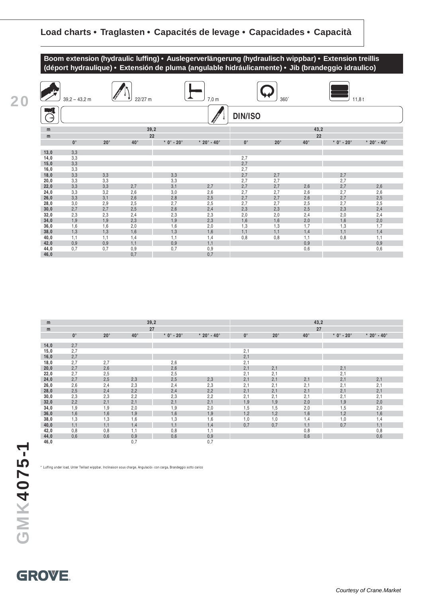



| m    |             |              | 39,2         |                                  |                             | 43,2        |              |              |              |                                   |  |  |
|------|-------------|--------------|--------------|----------------------------------|-----------------------------|-------------|--------------|--------------|--------------|-----------------------------------|--|--|
| m    |             |              | 27           |                                  |                             | 27          |              |              |              |                                   |  |  |
|      | $0^{\circ}$ | $20^{\circ}$ | $40^{\circ}$ | $*$ 0 $^{\circ}$ - 20 $^{\circ}$ | $* 20^{\circ} - 40^{\circ}$ | $0^{\circ}$ | $20^{\circ}$ | $40^{\circ}$ | $*$ 0° - 20° | $*$ 20 $^{\circ}$ - 40 $^{\circ}$ |  |  |
|      |             |              |              |                                  |                             |             |              |              |              |                                   |  |  |
| 14,0 | 2,7         |              |              |                                  |                             |             |              |              |              |                                   |  |  |
| 15,0 | 2,7         |              |              |                                  |                             | 2,1         |              |              |              |                                   |  |  |
| 16,0 | 2,7         |              |              |                                  |                             | 2,1         |              |              |              |                                   |  |  |
| 18,0 | 2,7         | 2,7          |              | 2,6                              |                             | 2,1         |              |              |              |                                   |  |  |
| 20,0 | 2,7         | 2,6          |              | 2,6                              |                             | 2,1         | 2,1          |              | 2,1          |                                   |  |  |
| 22,0 | 2,7         | 2,5          |              | 2,5                              |                             | 2,1         | 2,1          |              | 2,1          |                                   |  |  |
| 24,0 | 2,7         | 2,5          | 2,3          | 2,5                              | 2,3                         | 2,1         | 2,1          | 2,1          | 2,1          | 2,1                               |  |  |
| 26,0 | 2,6         | 2,4          | 2,3          | 2,4                              | 2,3                         | 2,1         | 2,1          | 2,1          | 2,1          | 2,1                               |  |  |
| 28,0 | 2,5         | 2,4          | 2,2          | 2,4                              | 2,2                         | 2,1         | 2,1          | 2,1          | 2,1          | 2,1                               |  |  |
| 30,0 | 2,3         | 2,3          | 2,2          | 2,3                              | 2,2                         | 2,1         | 2,1          | 2,1          | 2,1          | 2,1                               |  |  |
| 32,0 | 2,2         | 2,1          | 2,1          | 2,1                              | 2,1                         | 1,9         | 1,9          | 2,0          | 1,9          | 2,0                               |  |  |
| 34,0 | 1,9         | 1,9          | 2,0          | 1,9                              | 2,0                         | 1,5         | 1,5          | 2,0          | 1,5          | 2,0                               |  |  |
| 36,0 | 1,6         | 1,6          | 1,9          | 1,6                              | 1,9                         | 1,2         | 1,2          | 1,6          | 1,2          | 1,6                               |  |  |
| 38,0 | 1,3         | 1,3          | 1,6          | 1,3                              | 1,6                         | 1,0         | 1,0          | 1,4          | 1,0          | 1,4                               |  |  |
| 40,0 | 1,1         | 1,1          | 1,4          | 1,1                              | 1,4                         | 0,7         | 0,7          | 1,1          | 0,7          | 1,1                               |  |  |
| 42,0 | 0,8         | 0,8          | 1,1          | 0,8                              | 1,1                         |             |              | 0,8          |              | 0,8                               |  |  |
| 44,0 | 0,6         | 0,6          | 0,9          | 0,6                              | 0,9                         |             |              | 0,6          |              | 0,6                               |  |  |
| 46,0 |             |              | 0,7          |                                  | 0,7                         |             |              |              |              |                                   |  |  |

**20**

\* Luffing under load, Unter Teillast wippbar, Inclinaison sous charge, Angulación con carga, Brandeggio sotto carico

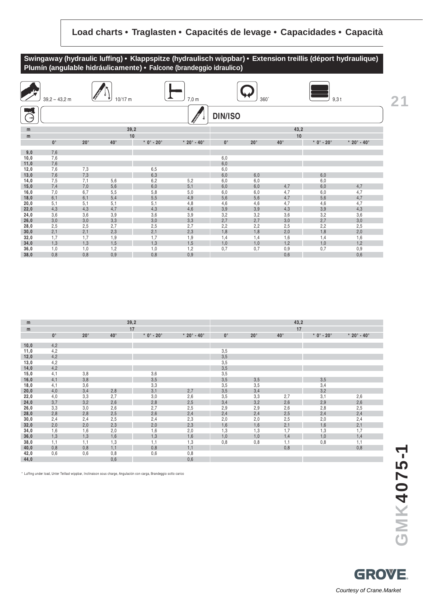## **Swingaway (hydraulic luffing) • Klappspitze (hydraulisch wippbar) • Extension treillis (déport hydraulique) Plumín (angulable hidráulicamente) • Falcone (brandeggio idraulico)**

| $\sum_{i=1}^n$ | $39,2 - 43,2$ m |              | $10/17$ m    |                                  | $7,0 \text{ m}$                   |                | $360^\circ$ |              | $9,3$ t                          |               |  |
|----------------|-----------------|--------------|--------------|----------------------------------|-----------------------------------|----------------|-------------|--------------|----------------------------------|---------------|--|
| $\rightarrow$  |                 |              |              |                                  |                                   | <b>DIN/ISO</b> |             |              |                                  |               |  |
| m              |                 |              |              | 39,2                             |                                   |                |             | 43,2         |                                  |               |  |
| m              |                 |              |              | 10                               |                                   |                |             | 10           |                                  |               |  |
|                | $0^{\circ}$     | $20^{\circ}$ | $40^{\circ}$ | $*$ 0 $^{\circ}$ - 20 $^{\circ}$ | $*$ 20 $^{\circ}$ - 40 $^{\circ}$ | $0^{\circ}$    | $20^\circ$  | $40^{\circ}$ | $*$ 0 $^{\circ}$ - 20 $^{\circ}$ | $* 20° - 40°$ |  |
| 9,0            | 7,6             |              |              |                                  |                                   |                |             |              |                                  |               |  |
| 10,0           | 7,6             |              |              |                                  |                                   | 6,0            |             |              |                                  |               |  |
| 11,0           | 7,6             |              |              |                                  |                                   | 6,0            |             |              |                                  |               |  |
| 12,0           | 7,6             | 7,3          |              | 6,5                              |                                   | 6,0            |             |              |                                  |               |  |
| 13,0           | 7,6             | 7,3          |              | 6,3                              |                                   | 6,0            | 6,0         |              | 6,0                              |               |  |
| 14,0           | 7,5             | 7,1          | 5,6          | 6,2                              | 5,2                               | 6,0            | 6,0         |              | 6,0                              |               |  |
| 15,0           | 7,4             | 7,0          | 5,6          | 6,0                              | 5,1                               | 6,0            | 6,0         | 4,7          | 6,0                              | 4,7           |  |
| 16,0           | 7,0             | 6,7          | 5,5          | 5,8                              | 5,0                               | 6,0            | 6,0         | 4,7          | 6,0                              | 4,7           |  |
| 18,0           | 6,1             | 6,1          | 5,4          | 5,5                              | 4,9                               | 5,6            | 5,6         | 4,7          | 5,6                              | 4,7           |  |
| 20,0           | 5,1             | 5,1          | 5,1          | 5,1                              | 4,8                               | 4,6            | 4,6         | 4,7          | 4,6                              | 4,7           |  |
| 22,0           | 4,3             | 4,3          | 4,7          | 4,3                              | 4,6                               | 3,9            | 3,9         | 4,3          | 3,9                              | 4,3           |  |
| 24,0           | 3,6             | 3,6          | 3,9          | 3,6                              | 3,9                               | 3,2            | 3,2         | 3,6          | 3,2                              | 3,6           |  |
| 26,0           | 3,0             | 3,0          | 3,3          | 3,0                              | 3,3                               | 2,7            | 2,7         | 3,0          | 2,7                              | 3,0           |  |
| 28,0           | 2,5             | 2,5          | 2,7          | 2,5                              | 2,7                               | 2,2            | 2,2         | 2,5          | 2,2                              | 2,5           |  |
| 30,0           | 2,1             | 2,1          | 2,3          | 2,1                              | 2,3                               | 1,8            | 1,8         | 2,0          | 1,8                              | 2,0           |  |
| 32,0           | 1,7             | 1,7          | 1,9          | 1,7                              | 1,9                               | 1,4            | 1,4         | 1,6          | 1,4                              | 1,6           |  |
| 34,0           | 1,3             | 1,3          | 1,5          | 1,3                              | 1,5                               | 1,0            | 1,0         | 1,2          | 1,0                              | 1,2           |  |
| 36,0           | 1,0             | 1,0          | 1,2          | 1,0                              | 1,2                               | 0,7            | 0,7         | 0,9          | 0,7                              | 0,9           |  |
| 38,0           | 0,8             | 0,8          | 0,9          | 0,8                              | 0,9                               |                |             | 0,6          |                                  | 0,6           |  |

| m    |             |              |              | 39,2                             |                                 | 43,2        |              |              |                        |               |  |  |
|------|-------------|--------------|--------------|----------------------------------|---------------------------------|-------------|--------------|--------------|------------------------|---------------|--|--|
| m    |             |              |              | 17                               |                                 |             |              | 17           |                        |               |  |  |
|      | $0^{\circ}$ | $20^{\circ}$ | $40^{\circ}$ | $*$ 0 $^{\circ}$ - 20 $^{\circ}$ | * 20 $^{\circ}$ - 40 $^{\circ}$ | $0^{\circ}$ | $20^{\circ}$ | $40^{\circ}$ | $* 0^\circ - 20^\circ$ | $* 20° - 40°$ |  |  |
|      |             |              |              |                                  |                                 |             |              |              |                        |               |  |  |
| 10,0 | 4,2         |              |              |                                  |                                 |             |              |              |                        |               |  |  |
| 11,0 | 4,2         |              |              |                                  |                                 | 3,5         |              |              |                        |               |  |  |
| 12,0 | 4,2         |              |              |                                  |                                 | 3,5         |              |              |                        |               |  |  |
| 13,0 | 4,2         |              |              |                                  |                                 | 3,5         |              |              |                        |               |  |  |
| 14,0 | 4,2         |              |              |                                  |                                 | 3,5         |              |              |                        |               |  |  |
| 15,0 | 4,1         | 3,8          |              | 3,6                              |                                 | 3,5         |              |              |                        |               |  |  |
| 16,0 | 4,1         | 3,8          |              | 3,5                              |                                 | 3,5         | 3,5          |              | 3,5                    |               |  |  |
| 18,0 | 4,1         | 3,6          |              | 3,3                              |                                 | 3,5         | 3,5          |              | 3,4                    |               |  |  |
| 20,0 | 4,0         | 3,4          | 2,8          | 3,1                              | 2,7                             | 3,5         | 3,4          |              | 3,2                    |               |  |  |
| 22,0 | 4,0         | 3,3          | 2,7          | 3,0                              | 2,6                             | 3,5         | 3,3          | 2,7          | 3,1                    | 2,6           |  |  |
| 24,0 | 3,7         | 3,2          | 2,6          | 2,8                              | 2,5                             | 3,4         | 3,2          | 2,6          | 2,9                    | 2,6           |  |  |
| 26,0 | 3,3         | 3,0          | 2,6          | 2,7                              | 2,5                             | 2,9         | 2,9          | 2,6          | 2,8                    | 2,5           |  |  |
| 28,0 | 2,8         | 2,8          | 2,5          | 2,6                              | 2,4                             | 2,4         | 2,4          | 2,5          | 2,4                    | 2,4           |  |  |
| 30,0 | 2,4         | 2,4          | 2,5          | 2,4                              | 2,3                             | 2,0         | 2,0          | 2,5          | 2,0                    | 2,4           |  |  |
| 32,0 | 2,0         | 2,0          | 2,3          | 2,0                              | 2,3                             | 1,6         | 1,6          | 2,1          | 1,6                    | 2,1           |  |  |
| 34,0 | 1,6         | 1,6          | 2,0          | 1,6                              | 2,0                             | 1,3         | 1,3          | 1,7          | 1,3                    | 1,7           |  |  |
| 36,0 | 1,3         | 1,3          | 1,6          | 1,3                              | 1,6                             | 1,0         | 1,0          | 1,4          | 1,0                    | 1,4           |  |  |
| 38,0 | 1,1         | 1,1          | 1,3          | 1,1                              | 1,3                             | 0,8         | 0,8          | 1,1          | 0,8                    | 1,1           |  |  |
| 40,0 | 0,8         | 0,8          | 1,1          | 0,8                              | 1,1                             |             |              | 0,8          |                        | 0,8           |  |  |
| 42,0 | 0,6         | 0,6          | 0,8          | 0,6                              | 0,8                             |             |              |              |                        |               |  |  |
| 44,0 |             |              | 0,6          |                                  | 0,6                             |             |              |              |                        |               |  |  |

\* Luffing under load, Unter Teillast wippbar, Inclinaison sous charge, Angulación con carga, Brandeggio sotto carico

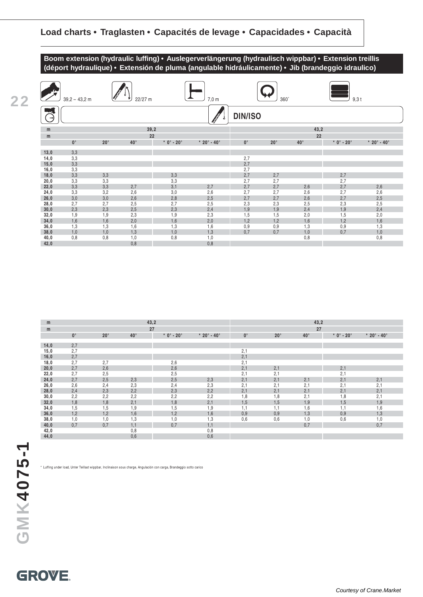

| <b>The Second Second</b> | $39,2 - 43,2$ m |              | 22/27 m      |              | 7,0 m                             |                | 360°       |              | $9,3$ t      |                                   |
|--------------------------|-----------------|--------------|--------------|--------------|-----------------------------------|----------------|------------|--------------|--------------|-----------------------------------|
| $\rightarrow$            |                 |              |              |              |                                   | <b>DIN/ISO</b> |            |              |              |                                   |
| m                        |                 |              |              | 39,2         |                                   |                |            | 43,2         |              |                                   |
| m                        |                 |              |              | 22           |                                   |                |            | 22           |              |                                   |
|                          | $0^{\circ}$     | $20^{\circ}$ | $40^{\circ}$ | $*$ 0° - 20° | $*$ 20 $^{\circ}$ - 40 $^{\circ}$ | $0^{\circ}$    | $20^\circ$ | $40^{\circ}$ | $*$ 0° - 20° | $*$ 20 $^{\circ}$ - 40 $^{\circ}$ |
| 13,0                     | 3,3             |              |              |              |                                   |                |            |              |              |                                   |
| 14,0                     | 3,3             |              |              |              |                                   | 2,7            |            |              |              |                                   |
| 15,0                     | 3,3             |              |              |              |                                   | 2,7            |            |              |              |                                   |
| 16,0                     | 3,3             |              |              |              |                                   | 2,7            |            |              |              |                                   |
| 18,0                     | 3,3             | 3,3          |              | 3,3          |                                   | 2,7            | 2,7        |              | 2,7          |                                   |
| 20,0                     | 3,3             | 3,3          |              | 3,3          |                                   | 2,7            | 2,7        |              | 2,7          |                                   |
| 22,0                     | 3,3             | 3,3          | 2,7          | 3,1          | 2,7                               | 2,7            | 2,7        | 2,6          | 2,7          | 2,6                               |
| 24,0                     | 3,3             | 3,2          | 2,6          | 3,0          | 2,6                               | 2,7            | 2,7        | 2,6          | 2,7          | 2,6                               |
| 26,0                     | 3,0             | 3,0          | 2,6          | 2,8          | 2,5                               | 2,7            | 2,7        | 2,6          | 2,7          | 2,5                               |
| 28,0                     | 2,7             | 2,7          | 2,5          | 2,7          | 2,5                               | 2,3            | 2,3        | 2,5          | 2,3          | 2,5                               |
| 30,0                     | 2,3             | 2,3          | 2,5          | 2,3          | 2,4                               | 1,9            | 1,9        | 2,4          | 1,9          | 2,4                               |
| 32,0                     | 1,9             | 1,9          | 2,3          | 1,9          | 2,3                               | 1,5            | 1,5        | 2,0          | 1,5          | 2,0                               |
| 34,0                     | 1,6             | 1,6          | 2,0          | 1,6          | 2,0                               | 1,2            | 1,2        | 1,6          | 1,2          | 1,6                               |
| 36,0                     | 1,3             | 1,3          | 1,6          | 1,3          | 1,6                               | 0,9            | 0,9        | 1,3          | 0,9          | 1,3                               |
| 38,0                     | 1,0             | 1,0          | 1,3          | 1,0          | 1,3                               | 0,7            | 0,7        | 1,0          | 0,7          | 1,0                               |
| 40,0                     | 0,8             | 0,8          | 1,0          | 0,8          | 1,0                               |                |            | 0,8          |              | 0,8                               |
| 42,0                     |                 |              | 0,8          |              | 0,8                               |                |            |              |              |                                   |

| m    |             |              | 43,2         |              |                               | 43,2        |            |              |                                  |                                   |  |  |
|------|-------------|--------------|--------------|--------------|-------------------------------|-------------|------------|--------------|----------------------------------|-----------------------------------|--|--|
| m    |             |              |              | 27           |                               |             |            | 27           |                                  |                                   |  |  |
|      | $0^{\circ}$ | $20^{\circ}$ | $40^{\circ}$ | $*$ 0° - 20° | * $20^{\circ}$ - $40^{\circ}$ | $0^{\circ}$ | $20^\circ$ | $40^{\circ}$ | $*$ 0 $^{\circ}$ - 20 $^{\circ}$ | $*$ 20 $^{\circ}$ - 40 $^{\circ}$ |  |  |
|      |             |              |              |              |                               |             |            |              |                                  |                                   |  |  |
| 14,0 | 2,7         |              |              |              |                               |             |            |              |                                  |                                   |  |  |
| 15,0 | 2,7         |              |              |              |                               | 2,1         |            |              |                                  |                                   |  |  |
| 16,0 | 2,7         |              |              |              |                               | 2,1         |            |              |                                  |                                   |  |  |
| 18,0 | 2,7         | 2,7          |              | 2,6          |                               | 2,1         |            |              |                                  |                                   |  |  |
| 20,0 | 2,7         | 2,6          |              | 2,6          |                               | 2,1         | 2,1        |              | 2,1                              |                                   |  |  |
| 22,0 | 2,7         | 2,5          |              | 2,5          |                               | 2,1         | 2,1        |              | 2,1                              |                                   |  |  |
| 24,0 | 2,7         | 2,5          | 2,3          | 2,5          | 2,3                           | 2,1         | 2,1        | 2,1          | 2,1                              | 2,1                               |  |  |
| 26,0 | 2,6         | 2,4          | 2,3          | 2,4          | 2,3                           | 2,1         | 2,1        | 2,1          | 2,1                              | 2,1                               |  |  |
| 28,0 | 2,4         | 2,3          | 2,2          | 2,3          | 2,2                           | 2,1         | 2,1        | 2,1          | 2,1                              | 2,1                               |  |  |
| 30,0 | 2,2         | 2,2          | 2,2          | 2,2          | 2,2                           | 1,8         | 1,8        | 2,1          | 1,8                              | 2,1                               |  |  |
| 32,0 | 1,8         | 1,8          | 2,1          | 1,8          | 2,1                           | 1,5         | 1,5        | 1,9          | 1,5                              | 1,9                               |  |  |
| 34,0 | 1,5         | 1,5          | 1,9          | 1,5          | 1,9                           | 1,1         | 1,1        | 1,6          | 1,1                              | 1,6                               |  |  |
| 36,0 | 1,2         | 1,2          | 1,6          | 1,2          | 1,6                           | 0,9         | 0,9        | 1,3          | 0,9                              | 1,3                               |  |  |
| 38,0 | 1,0         | 1,0          | 1,3          | 1,0          | 1,3                           | 0,6         | 0,6        | 1,0          | 0,6                              | 1,0                               |  |  |
| 40,0 | 0,7         | 0,7          | 1,1          | 0,7          | 1,1                           |             |            | 0,7          |                                  | 0,7                               |  |  |
| 42,0 |             |              | 0,8          |              | 0,8                           |             |            |              |                                  |                                   |  |  |
| 44,0 |             |              | 0,6          |              | 0,6                           |             |            |              |                                  |                                   |  |  |

\* Luffing under load, Unter Teillast wippbar, Inclinaison sous charge, Angulación con carga, Brandeggio sotto carico

**22**

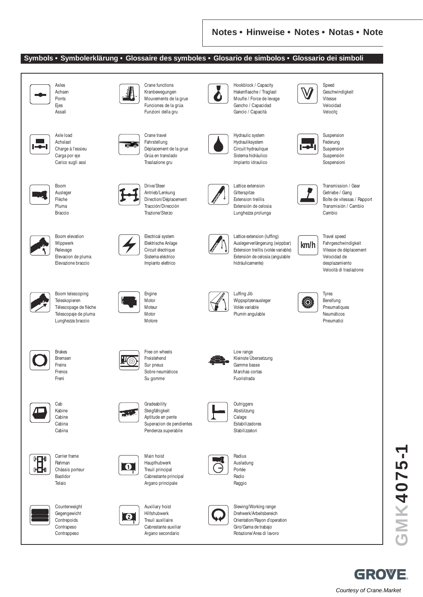#### **Symbols • Symbolerklärung • Glossaire des symboles • Glosario de simbolos • Glossario dei simboli**